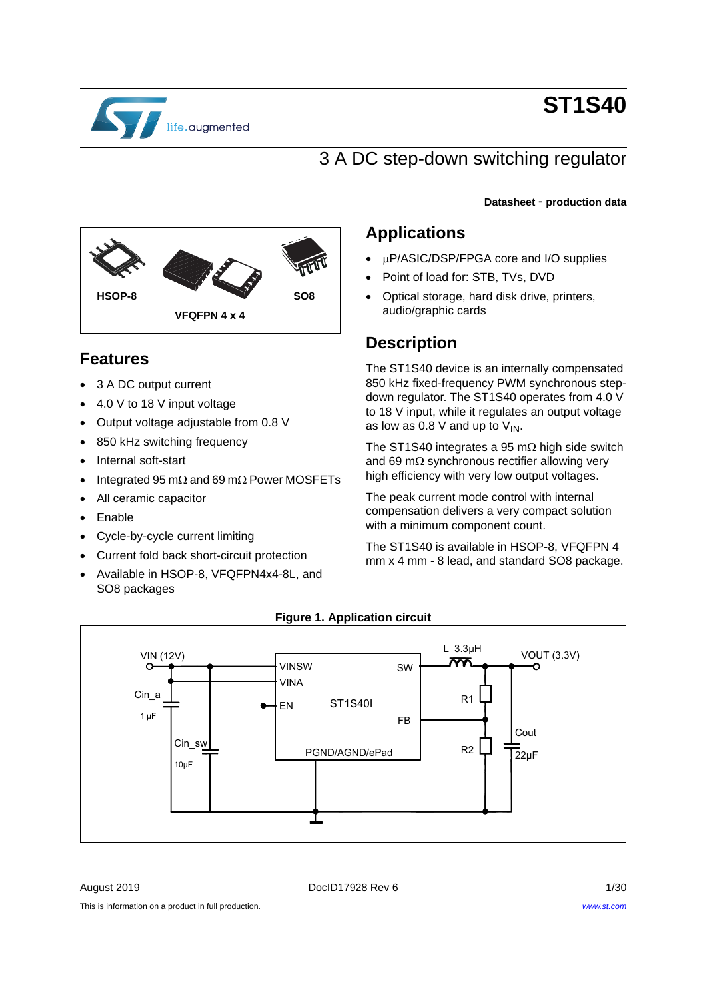

# **ST1S40**

**Datasheet** - **production data**

### 3 A DC step-down switching regulator

# **VFQFPN 4 x 4 HSOP-8 SO8**

### **Features**

- 3 A DC output current
- 4.0 V to 18 V input voltage
- Output voltage adjustable from 0.8 V
- 850 kHz switching frequency
- Internal soft-start
- Integrated 95 m $\Omega$  and 69 m $\Omega$  Power MOSFETs
- All ceramic capacitor
- Enable
- Cycle-by-cycle current limiting
- Current fold back short-circuit protection
- Available in HSOP-8, VFQFPN4x4-8L, and SO8 packages

### **Applications**

- P/ASIC/DSP/FPGA core and I/O supplies
- Point of load for: STB, TVs, DVD
- Optical storage, hard disk drive, printers, audio/graphic cards

### **Description**

The ST1S40 device is an internally compensated 850 kHz fixed-frequency PWM synchronous stepdown regulator. The ST1S40 operates from 4.0 V to 18 V input, while it regulates an output voltage as low as 0.8 V and up to  $V_{IN}$ .

The ST1S40 integrates a 95 m $\Omega$  high side switch and 69 m $\Omega$  synchronous rectifier allowing very high efficiency with very low output voltages.

The peak current mode control with internal compensation delivers a very compact solution with a minimum component count.

The ST1S40 is available in HSOP-8, VFQFPN 4 mm x 4 mm - 8 lead, and standard SO8 package.



### **Figure 1. Application circuit**

August 2019 **Doclous** Doclous Rev 6 **1/30** 

This is information on a product in full production.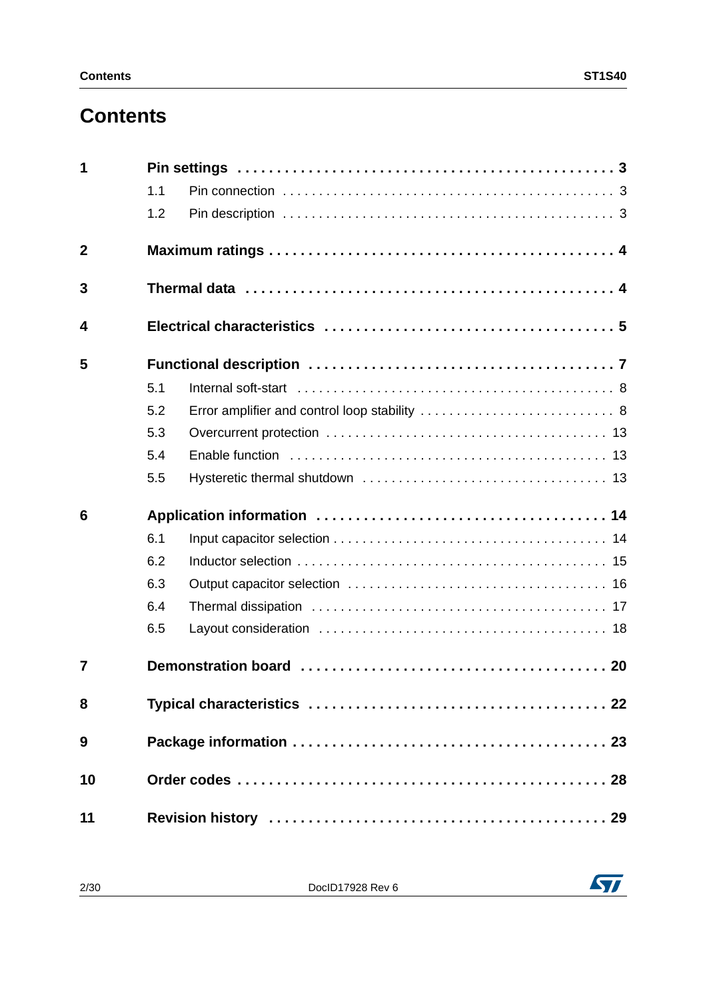# **Contents**

| 1           |     |                                                                                                           |  |  |  |  |  |
|-------------|-----|-----------------------------------------------------------------------------------------------------------|--|--|--|--|--|
|             | 1.1 |                                                                                                           |  |  |  |  |  |
|             | 1.2 |                                                                                                           |  |  |  |  |  |
| $\mathbf 2$ |     |                                                                                                           |  |  |  |  |  |
| 3           |     | Thermal data $\ldots \ldots \ldots \ldots \ldots \ldots \ldots \ldots \ldots \ldots \ldots \ldots \ldots$ |  |  |  |  |  |
| 4           |     |                                                                                                           |  |  |  |  |  |
| 5           |     |                                                                                                           |  |  |  |  |  |
|             | 5.1 |                                                                                                           |  |  |  |  |  |
|             | 5.2 | Error amplifier and control loop stability  8                                                             |  |  |  |  |  |
|             | 5.3 |                                                                                                           |  |  |  |  |  |
|             | 5.4 |                                                                                                           |  |  |  |  |  |
|             | 5.5 |                                                                                                           |  |  |  |  |  |
| 6           |     |                                                                                                           |  |  |  |  |  |
|             | 6.1 |                                                                                                           |  |  |  |  |  |
|             | 6.2 |                                                                                                           |  |  |  |  |  |
|             | 6.3 |                                                                                                           |  |  |  |  |  |
|             | 6.4 |                                                                                                           |  |  |  |  |  |
|             | 6.5 |                                                                                                           |  |  |  |  |  |
| 7           |     |                                                                                                           |  |  |  |  |  |
| 8           |     |                                                                                                           |  |  |  |  |  |
| 9           |     |                                                                                                           |  |  |  |  |  |
| 10          |     |                                                                                                           |  |  |  |  |  |
| 11          |     |                                                                                                           |  |  |  |  |  |

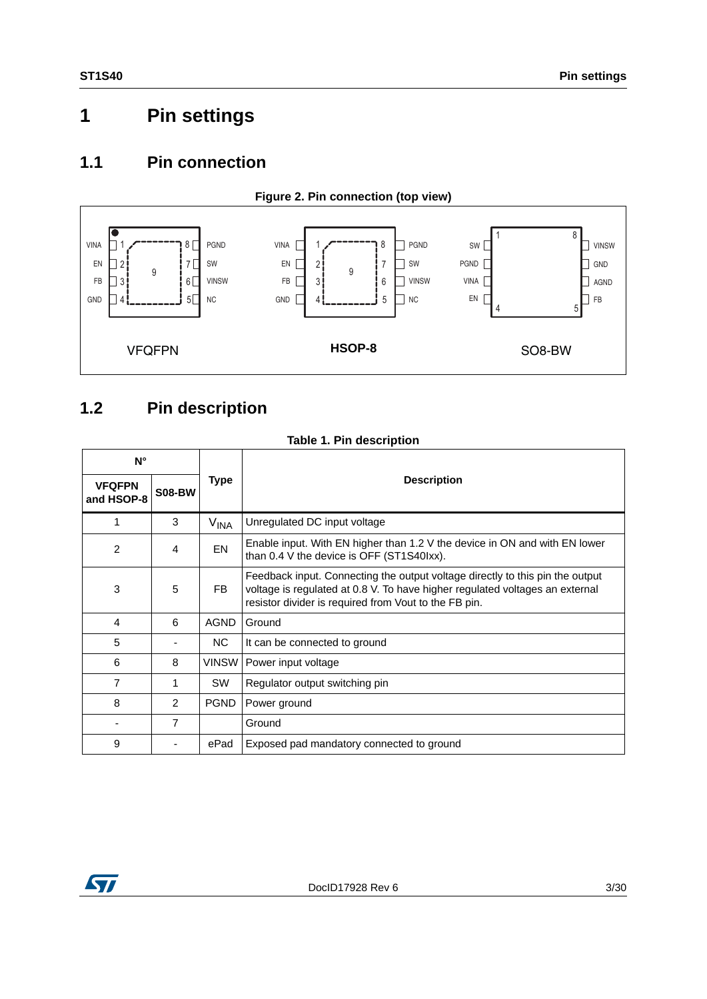# <span id="page-2-0"></span>**1 Pin settings**

### <span id="page-2-1"></span>**1.1 Pin connection**



### <span id="page-2-2"></span>**1.2 Pin description**

### **Table 1. Pin description**

| $N^{\circ}$                 |                |                  |                                                                                                                                                                                                                        |  |  |  |
|-----------------------------|----------------|------------------|------------------------------------------------------------------------------------------------------------------------------------------------------------------------------------------------------------------------|--|--|--|
| <b>VFQFPN</b><br>and HSOP-8 | <b>S08-BW</b>  | Type             | <b>Description</b>                                                                                                                                                                                                     |  |  |  |
| 1                           | 3              | V <sub>INA</sub> | Unregulated DC input voltage                                                                                                                                                                                           |  |  |  |
| 2                           | 4              | EN               | Enable input. With EN higher than 1.2 V the device in ON and with EN lower<br>than 0.4 V the device is OFF (ST1S40lxx).                                                                                                |  |  |  |
| 3                           | 5              | FB.              | Feedback input. Connecting the output voltage directly to this pin the output<br>voltage is regulated at 0.8 V. To have higher regulated voltages an external<br>resistor divider is required from Vout to the FB pin. |  |  |  |
| 4                           | 6              | <b>AGND</b>      | Ground                                                                                                                                                                                                                 |  |  |  |
| 5                           |                | NC.              | It can be connected to ground                                                                                                                                                                                          |  |  |  |
| 6                           | 8              |                  | VINSW   Power input voltage                                                                                                                                                                                            |  |  |  |
| 7                           | 1              | <b>SW</b>        | Regulator output switching pin                                                                                                                                                                                         |  |  |  |
| 8                           | $\mathcal{P}$  | <b>PGND</b>      | Power ground                                                                                                                                                                                                           |  |  |  |
|                             | $\overline{7}$ |                  | Ground                                                                                                                                                                                                                 |  |  |  |
| 9                           |                | ePad             | Exposed pad mandatory connected to ground                                                                                                                                                                              |  |  |  |

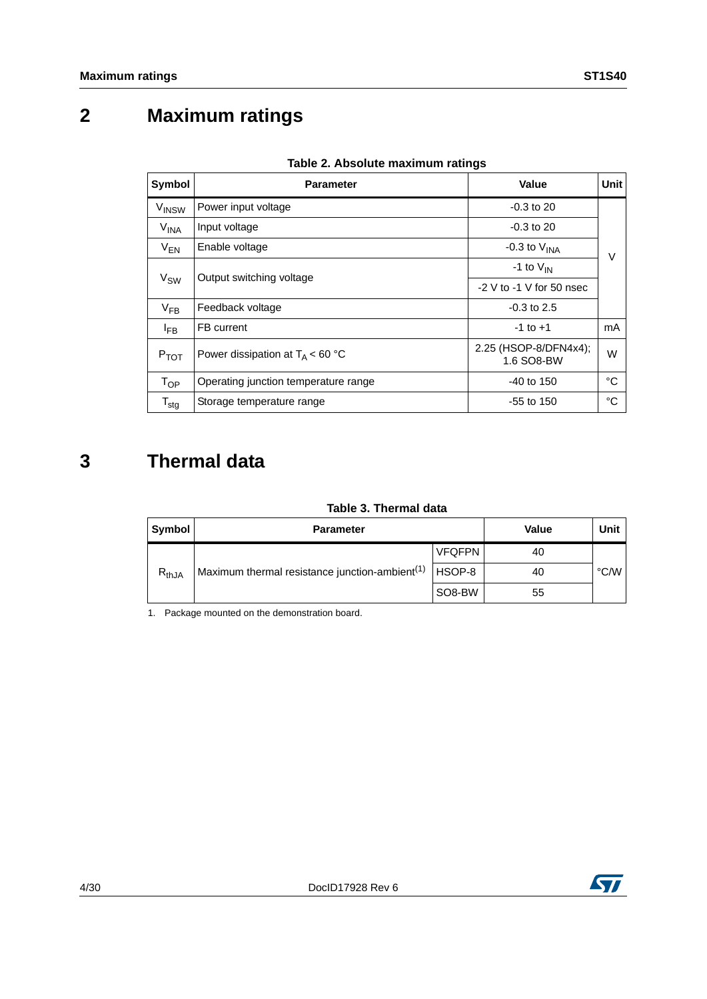# <span id="page-3-0"></span>**2 Maximum ratings**

| Symbol            | <b>Parameter</b>                     | Value                               | Unit   |
|-------------------|--------------------------------------|-------------------------------------|--------|
| V <sub>INSW</sub> | Power input voltage                  | $-0.3$ to 20                        |        |
| V <sub>INA</sub>  | Input voltage                        | $-0.3$ to 20                        |        |
| $V_{EN}$          | Enable voltage                       | -0.3 to $V_{\text{INA}}$            | $\vee$ |
| V <sub>SW</sub>   | Output switching voltage             | -1 to $V_{IN}$                      |        |
|                   |                                      | $-2$ V to $-1$ V for 50 nsec        |        |
| $V_{FB}$          | Feedback voltage                     | $-0.3$ to 2.5                       |        |
| $I_{FB}$          | FB current                           | $-1$ to $+1$                        | mA     |
| $P_{TOT}$         | Power dissipation at $T_A < 60 °C$   | 2.25 (HSOP-8/DFN4x4);<br>1.6 SO8-BW | W      |
| $T_{OP}$          | Operating junction temperature range | $-40$ to 150                        | °C     |
| $T_{\text{stg}}$  | Storage temperature range            | $-55$ to 150                        | °C     |

### **Table 2. Absolute maximum ratings**

# <span id="page-3-1"></span>**3 Thermal data**

### **Table 3. Thermal data**

| ושוט שווויטוווויט וואס |                                                            |               |       |      |  |  |  |
|------------------------|------------------------------------------------------------|---------------|-------|------|--|--|--|
| Symbol                 | <b>Parameter</b>                                           |               | Value | Unit |  |  |  |
|                        |                                                            | <b>VFQFPN</b> | 40    |      |  |  |  |
| $R_{thJA}$             | Maximum thermal resistance junction-ambient <sup>(1)</sup> | HSOP-8        | 40    | °C/W |  |  |  |
|                        |                                                            | SO8-BW        | 55    |      |  |  |  |

1. Package mounted on the demonstration board.

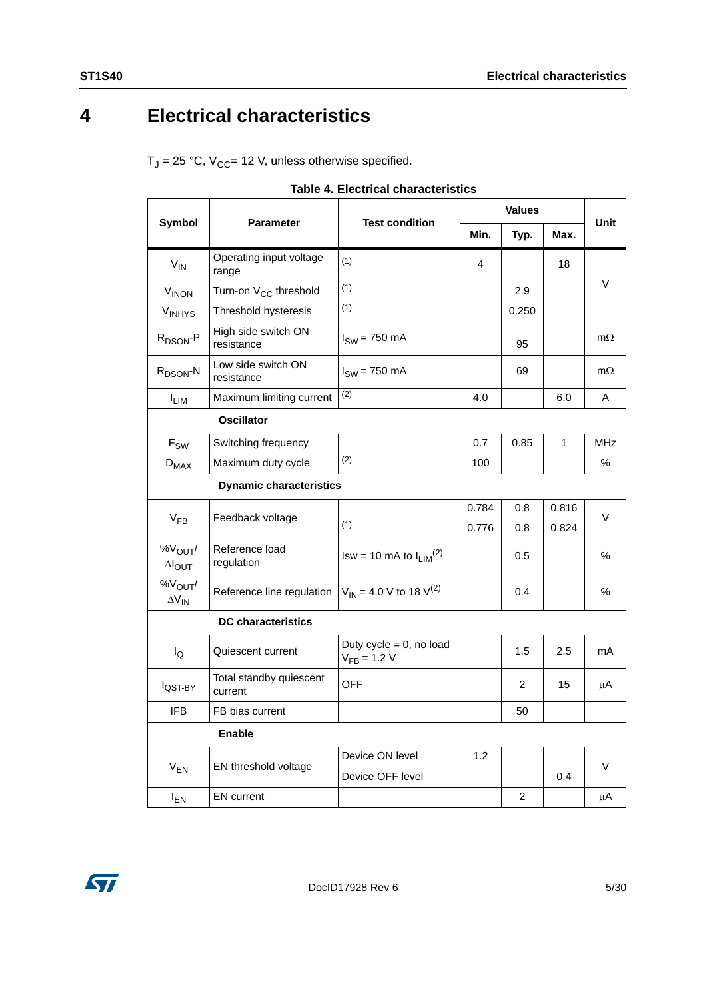# <span id="page-4-0"></span>**4 Electrical characteristics**

 $T_J = 25 °C$ ,  $V_{CC} = 12 V$ , unless otherwise specified.

<span id="page-4-1"></span>

|                                         |                                    |                                                |       | <b>Unit</b>    |                |            |
|-----------------------------------------|------------------------------------|------------------------------------------------|-------|----------------|----------------|------------|
| Symbol                                  | Parameter                          | <b>Test condition</b>                          | Min.  | Typ.           | Max.           |            |
| $V_{IN}$                                | Operating input voltage<br>range   | (1)                                            | 4     |                | 18             |            |
| <b>V<sub>INON</sub></b>                 | Turn-on V <sub>CC</sub> threshold  | (1)                                            |       | 2.9            |                | V          |
| <b>VINHYS</b>                           | Threshold hysteresis               | (1)                                            |       | 0.250          |                |            |
| R <sub>DSON</sub> -P                    | High side switch ON<br>resistance  | $ISW = 750 mA$                                 |       | 95             |                | $m\Omega$  |
| R <sub>DSON</sub> -N                    | Low side switch ON<br>resistance   | $ISW = 750 mA$                                 |       | 69             |                | $m\Omega$  |
| $I_{LIM}$                               | Maximum limiting current           | (2)                                            | 4.0   |                | 6.0            | Α          |
|                                         | <b>Oscillator</b>                  |                                                |       |                |                |            |
| $F_{SW}$                                | Switching frequency                |                                                | 0.7   | 0.85           | $\overline{1}$ | <b>MHz</b> |
| $D_{MAX}$                               | Maximum duty cycle                 | (2)                                            | 100   |                |                | %          |
|                                         | <b>Dynamic characteristics</b>     |                                                |       |                |                |            |
|                                         |                                    |                                                | 0.784 | 0.8            | 0.816          | V          |
| $V_{FB}$                                | Feedback voltage                   | (1)                                            | 0.776 | 0.8            | 0.824          |            |
| $\%V_{\text{OUT}}/$<br>$\Delta I_{OUT}$ | Reference load<br>regulation       | $Isw = 10$ mA to $I_{LIM}^{(2)}$               |       | 0.5            |                | $\%$       |
| %V <sub>OUT</sub> /<br>$\Delta V_{IN}$  | Reference line regulation          | $V_{IN}$ = 4.0 V to 18 V <sup>(2)</sup>        |       | 0.4            |                | %          |
|                                         | <b>DC</b> characteristics          |                                                |       |                |                |            |
| $I_{\mathsf{Q}}$                        | Quiescent current                  | Duty cycle = $0$ , no load<br>$V_{FB} = 1.2 V$ |       | 1.5            | 2.5            | mA         |
| l <sub>QST-BY</sub>                     | Total standby quiescent<br>current | <b>OFF</b>                                     |       | 2              | 15             | μA         |
| <b>IFB</b>                              | FB bias current                    |                                                |       | 50             |                |            |
|                                         | <b>Enable</b>                      |                                                |       |                |                |            |
|                                         |                                    | Device ON level                                | 1.2   |                |                | V          |
| $V_{EN}$                                | EN threshold voltage               | Device OFF level                               |       |                | 0.4            |            |
| $I_{EN}$                                | <b>EN</b> current                  |                                                |       | $\overline{c}$ |                | μA         |

| Table 4. Electrical characteristics |  |
|-------------------------------------|--|
|-------------------------------------|--|

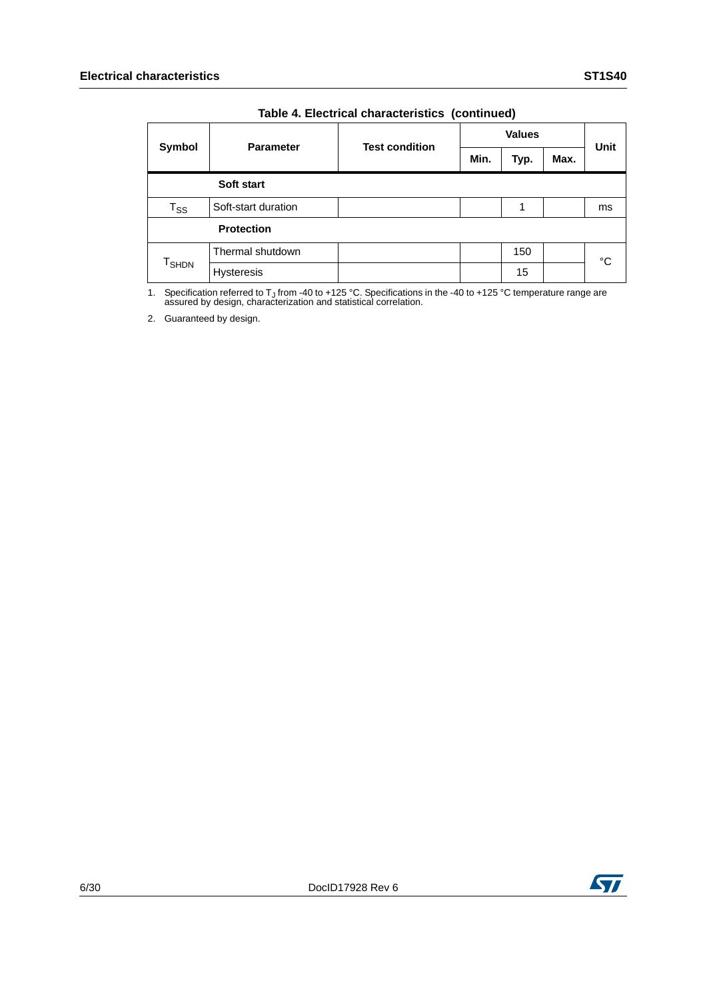|                            |                     | <b>Test condition</b> | <b>Values</b> |      |      | <b>Unit</b> |
|----------------------------|---------------------|-----------------------|---------------|------|------|-------------|
| Symbol                     | <b>Parameter</b>    |                       | Min.          | Typ. | Max. |             |
|                            | Soft start          |                       |               |      |      |             |
| $\mathsf{T}_{\mathsf{SS}}$ | Soft-start duration |                       |               |      |      | ms          |
| <b>Protection</b>          |                     |                       |               |      |      |             |
| <b>T</b> <sub>SHDN</sub>   | Thermal shutdown    |                       |               | 150  |      | °C          |
|                            | <b>Hysteresis</b>   |                       |               | 15   |      |             |

### **Table 4. Electrical characteristics (continued)**

1. Specification referred to T<sub>J</sub> from -40 to +125 °C. Specifications in the -40 to +125 °C temperature range are assured by design, characterization and statistical correlation.

2. Guaranteed by design.

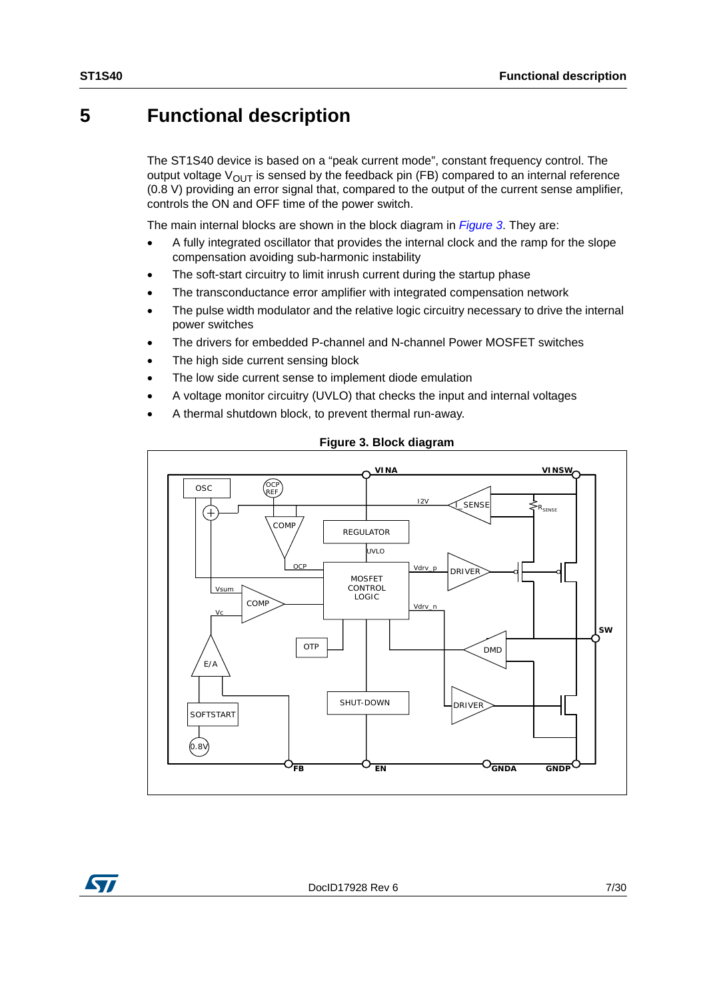### <span id="page-6-0"></span>**5 Functional description**

The ST1S40 device is based on a "peak current mode", constant frequency control. The output voltage  $V_{\text{OUT}}$  is sensed by the feedback pin (FB) compared to an internal reference (0.8 V) providing an error signal that, compared to the output of the current sense amplifier, controls the ON and OFF time of the power switch.

The main internal blocks are shown in the block diagram in *[Figure 3](#page-6-1)*. They are:

- A fully integrated oscillator that provides the internal clock and the ramp for the slope compensation avoiding sub-harmonic instability
- The soft-start circuitry to limit inrush current during the startup phase
- The transconductance error amplifier with integrated compensation network
- The pulse width modulator and the relative logic circuitry necessary to drive the internal power switches
- The drivers for embedded P-channel and N-channel Power MOSFET switches
- The high side current sensing block
- The low side current sense to implement diode emulation
- A voltage monitor circuitry (UVLO) that checks the input and internal voltages
- A thermal shutdown block, to prevent thermal run-away.

<span id="page-6-1"></span>

### **Figure 3. Block diagram**

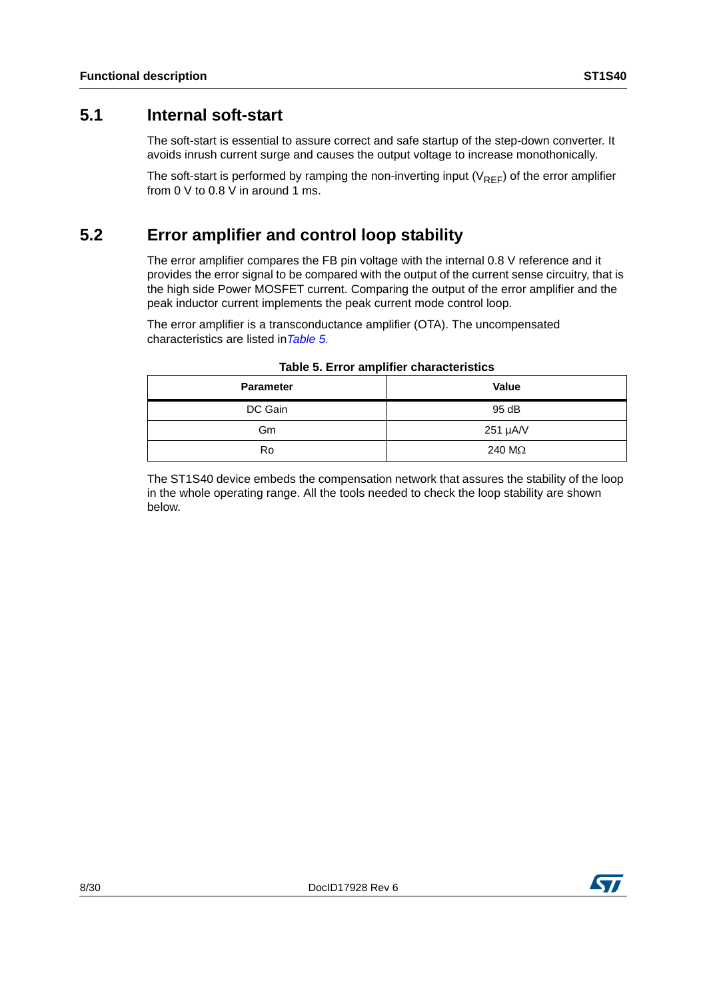### <span id="page-7-0"></span>**5.1 Internal soft-start**

The soft-start is essential to assure correct and safe startup of the step-down converter. It avoids inrush current surge and causes the output voltage to increase monothonically.

The soft-start is performed by ramping the non-inverting input  $(V_{REF})$  of the error amplifier from 0 V to 0.8 V in around 1 ms.

### <span id="page-7-1"></span>**5.2 Error amplifier and control loop stability**

The error amplifier compares the FB pin voltage with the internal 0.8 V reference and it provides the error signal to be compared with the output of the current sense circuitry, that is the high side Power MOSFET current. Comparing the output of the error amplifier and the peak inductor current implements the peak current mode control loop.

The error amplifier is a transconductance amplifier (OTA). The uncompensated characteristics are listed in*[Table 5.](#page-7-2)*

<span id="page-7-2"></span>

| <b>Parameter</b> | <b>Value</b>   |
|------------------|----------------|
| DC Gain          | 95 dB          |
| Gm               | 251 µA/V       |
| Ro               | 240 M $\Omega$ |

### **Table 5. Error amplifier characteristics**

The ST1S40 device embeds the compensation network that assures the stability of the loop in the whole operating range. All the tools needed to check the loop stability are shown below.

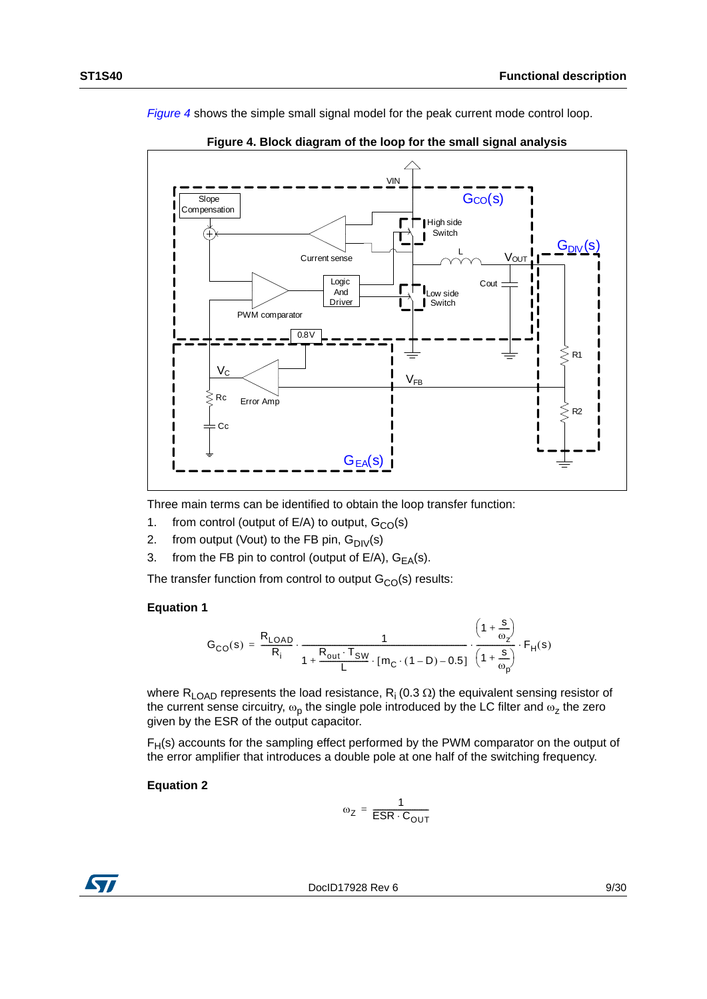

<span id="page-8-0"></span>VIN  $\overline{G_{CO}(s)}$ **Slope Compensation** Γ  $\blacksquare$  High side G Switch  $\mathbf{I}$ ı <u>G<sub>DIV</sub>(s)</u> L Vout Current sense Logic Cout r And Low side Driver Switch PWM comparator  $0.8V$  $\lesssim$  R1 V  $V_{FB}$  $RC$  Error Amp ξ ≤ R2 Cc  $G_{EA}(s)$ 

*[Figure 4](#page-8-0)* shows the simple small signal model for the peak current mode control loop.



**Figure 4. Block diagram of the loop for the small signal analysis**

Three main terms can be identified to obtain the loop transfer function:

- 1. from control (output of  $E/A$ ) to output,  $G_{CO}(s)$
- 2. from output (Vout) to the FB pin,  $G_{\text{DIV}}(s)$
- 3. from the FB pin to control (output of  $E/A$ ),  $G_{EA}(s)$ .

The transfer function from control to output  $G<sub>CO</sub>(s)$  results:

### **Equation 1**

$$
G_{CO}(s)=\frac{R_{LOAD}}{R_i}\cdot\frac{1}{1+\displaystyle\frac{R_{out}\cdot T_{SW}}{L}\cdot[m_C\cdot(1-D)-0.5]}\cdot\frac{\left(1+\displaystyle\frac{s}{\omega_2}\right)}{\left(1+\displaystyle\frac{s}{\omega_p}\right)}\cdot F_H(s)
$$

where R<sub>LOAD</sub> represents the load resistance, R<sub>i</sub> (0.3  $\Omega$ ) the equivalent sensing resistor of the current sense circuitry,  $\omega_p$  the single pole introduced by the LC filter and  $\omega_z$  the zero given by the ESR of the output capacitor.

 $F<sub>H</sub>(s)$  accounts for the sampling effect performed by the PWM comparator on the output of the error amplifier that introduces a double pole at one half of the switching frequency.

### **Equation 2**

$$
\omega_{Z} = \frac{1}{ESR \cdot C_{OUT}}
$$



DocID17928 Rev 6 9/30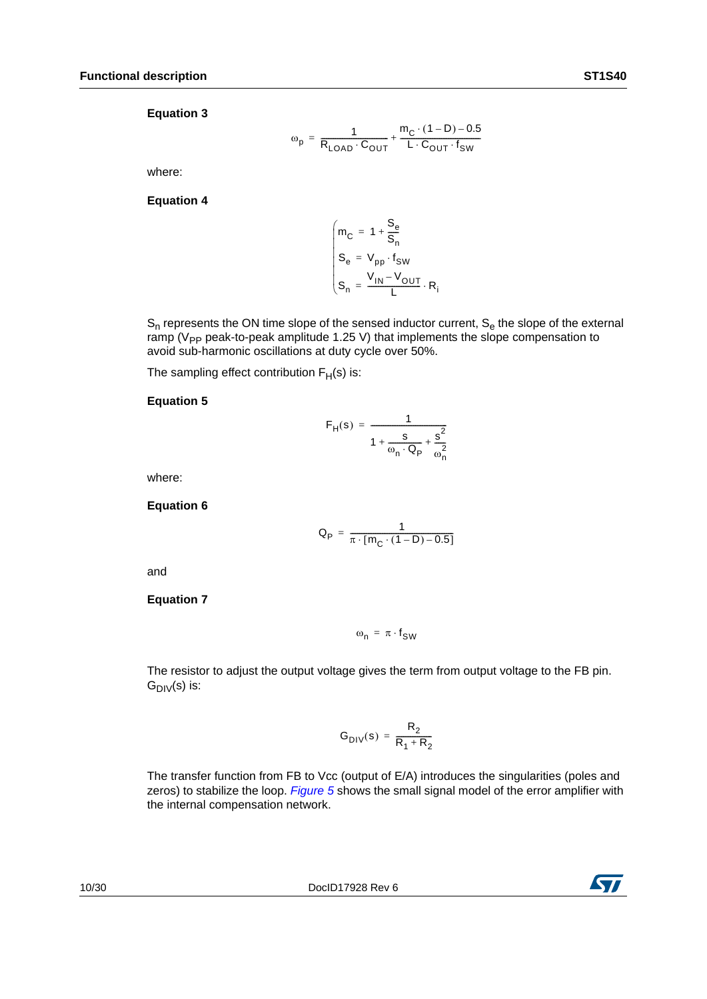$$
\omega_{p} = \frac{1}{R_{\text{LOAD}} \cdot C_{\text{OUT}}} + \frac{m_{C} \cdot (1 - D) - 0.5}{L \cdot C_{\text{OUT}} \cdot f_{SW}}
$$

where:

#### **Equation 4**

$$
\begin{cases}\nm_C = 1 + \frac{S_e}{S_n} \\
S_e = V_{pp} \cdot f_{SW} \\
S_n = \frac{V_{IN} - V_{OUT}}{L} \cdot R_i\n\end{cases}
$$

 $S_n$  represents the ON time slope of the sensed inductor current,  $S_e$  the slope of the external ramp ( $V_{PP}$  peak-to-peak amplitude 1.25 V) that implements the slope compensation to avoid sub-harmonic oscillations at duty cycle over 50%.

The sampling effect contribution  $F_H(s)$  is:

#### **Equation 5**

$$
F_H(s) = \frac{1}{1 + \frac{s}{\omega_n \cdot Q_P} + \frac{s^2}{\omega_n^2}}
$$

where:

**Equation 6**

$$
Q_p\,=\,\frac{1}{\pi\cdot [m_C\cdot (1-D)-0.5]}
$$

and

#### **Equation 7**

 $\omega_n = \pi \cdot f_{SW}$ 

The resistor to adjust the output voltage gives the term from output voltage to the FB pin.  $G_{\text{DIV}}(s)$  is:

$$
G_{\text{DIV}}(s) = \frac{R_2}{R_1 + R_2}
$$

The transfer function from FB to Vcc (output of E/A) introduces the singularities (poles and zeros) to stabilize the loop. *[Figure 5](#page-10-0)* shows the small signal model of the error amplifier with the internal compensation network.

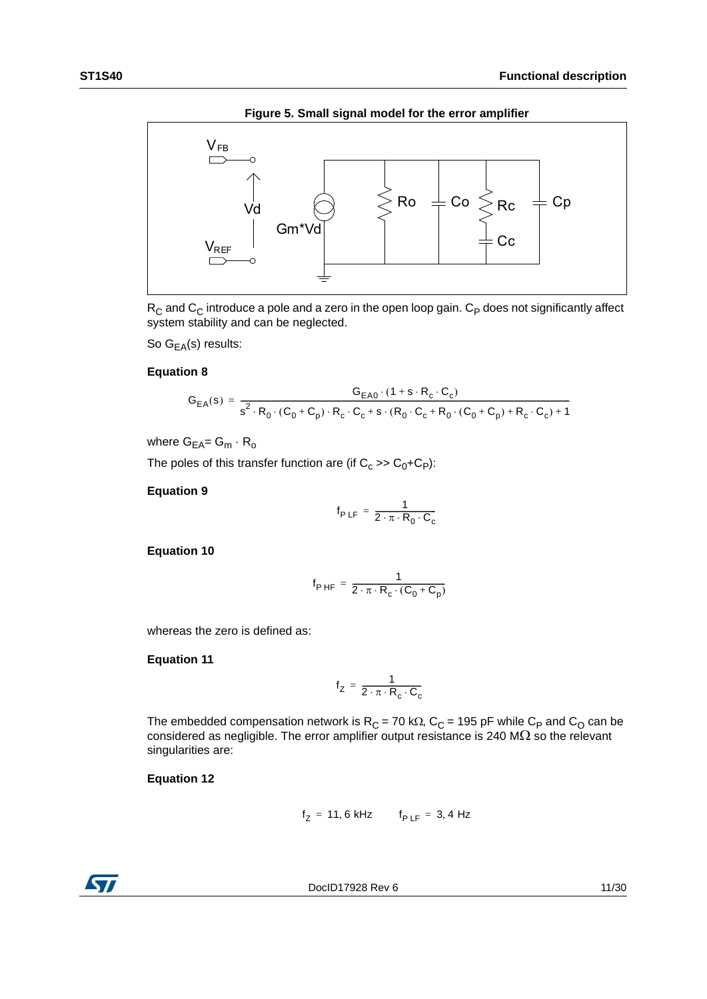

<span id="page-10-0"></span>

 $R_C$  and  $C_C$  introduce a pole and a zero in the open loop gain.  $C_P$  does not significantly affect system stability and can be neglected.

So  $G_{EA}(s)$  results:

#### **Equation 8**

$$
G_{EA}(s) = \frac{G_{EA0} \cdot (1 + s \cdot R_c \cdot C_c)}{s^2 \cdot R_0 \cdot (C_0 + C_p) \cdot R_c \cdot C_c + s \cdot (R_0 \cdot C_c + R_0 \cdot (C_0 + C_p) + R_c \cdot C_c) + 1}
$$

where  $G_{EA} = G_m \cdot R_o$ 

The poles of this transfer function are (if  $C_c$  >>  $C_0$ +C<sub>P</sub>):

#### **Equation 9**

$$
f_{P LF} = \frac{1}{2 \cdot \pi \cdot R_0 \cdot C_c}
$$

**Equation 10**

$$
f_{PHF} = \frac{1}{2 \cdot \pi \cdot R_c \cdot (C_0 + C_p)}
$$

whereas the zero is defined as:

**Equation 11**

$$
f_Z = \frac{1}{2 \cdot \pi \cdot R_c \cdot C_c}
$$

The embedded compensation network is  $R_C = 70$  k $\Omega$ ,  $C_C = 195$  pF while  $C_P$  and  $C_O$  can be considered as negligible. The error amplifier output resistance is 240 M $\Omega$  so the relevant singularities are:

### **Equation 12**

$$
f_Z = 11, 6 \text{ kHz} \qquad f_{P \text{ LF}} = 3, 4 \text{ Hz}
$$



DocID17928 Rev 6 11/30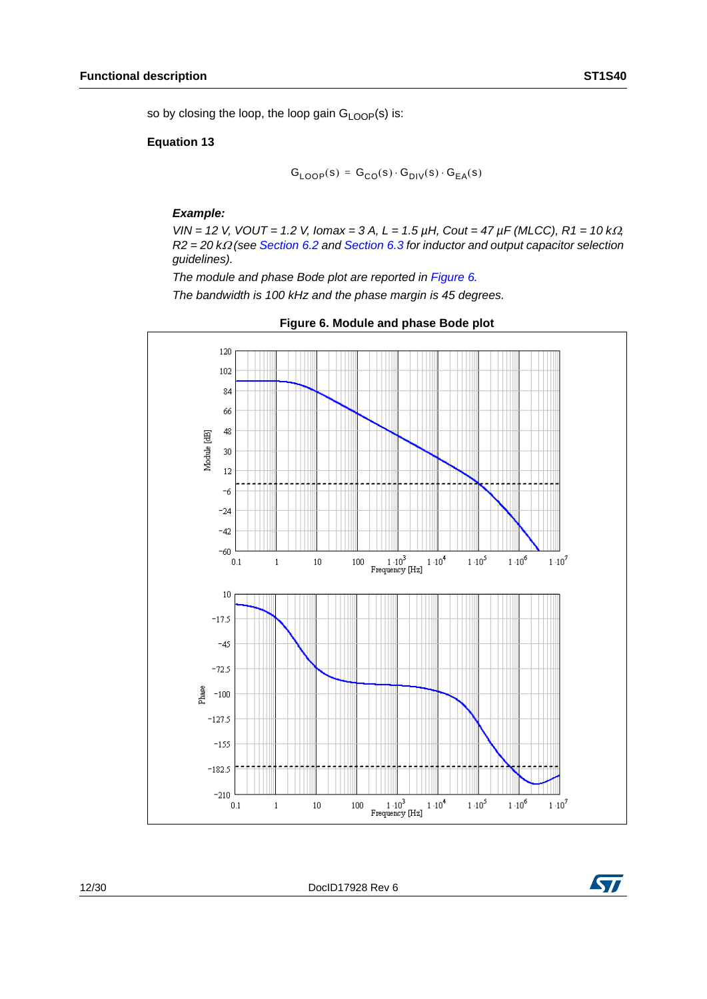so by closing the loop, the loop gain  $G_{\text{LOOP}}(s)$  is:

#### **Equation 13**

$$
\mathsf{G}_{\mathsf{LOOP}}(s) = \mathsf{G}_{\mathsf{CO}}(s) \cdot \mathsf{G}_{\mathsf{DIV}}(s) \cdot \mathsf{G}_{\mathsf{EA}}(s)
$$

#### *Example:*

*VIN* = 12 *V*, *VOUT* = 1.2 *V*, *Iomax* = 3 *A*, *L* = 1.5  $\mu$ H, *Cout* = 47  $\mu$ F (MLCC), R1 = 10 k $\Omega$ , *R2 = 20 k(see [Section 6.2](#page-14-0) and [Section 6.3](#page-15-0) for inductor and output capacitor selection guidelines).*

*The module and phase Bode plot are reported in [Figure 6.](#page-11-0)*

*The bandwidth is 100 kHz and the phase margin is 45 degrees.*

<span id="page-11-0"></span>

12/30 DocID17928 Rev 6

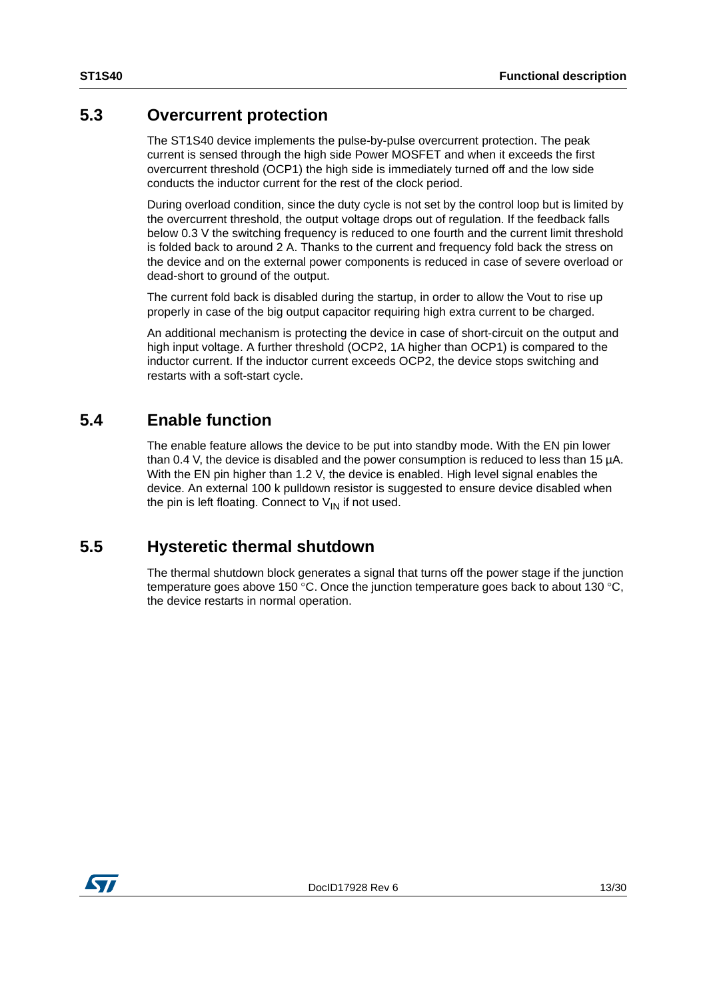### <span id="page-12-0"></span>**5.3 Overcurrent protection**

The ST1S40 device implements the pulse-by-pulse overcurrent protection. The peak current is sensed through the high side Power MOSFET and when it exceeds the first overcurrent threshold (OCP1) the high side is immediately turned off and the low side conducts the inductor current for the rest of the clock period.

During overload condition, since the duty cycle is not set by the control loop but is limited by the overcurrent threshold, the output voltage drops out of regulation. If the feedback falls below 0.3 V the switching frequency is reduced to one fourth and the current limit threshold is folded back to around 2 A. Thanks to the current and frequency fold back the stress on the device and on the external power components is reduced in case of severe overload or dead-short to ground of the output.

The current fold back is disabled during the startup, in order to allow the Vout to rise up properly in case of the big output capacitor requiring high extra current to be charged.

An additional mechanism is protecting the device in case of short-circuit on the output and high input voltage. A further threshold (OCP2, 1A higher than OCP1) is compared to the inductor current. If the inductor current exceeds OCP2, the device stops switching and restarts with a soft-start cycle.

### <span id="page-12-1"></span>**5.4 Enable function**

The enable feature allows the device to be put into standby mode. With the EN pin lower than 0.4 V, the device is disabled and the power consumption is reduced to less than 15 µA. With the EN pin higher than 1.2 V, the device is enabled. High level signal enables the device. An external 100 k pulldown resistor is suggested to ensure device disabled when the pin is left floating. Connect to  $V_{IN}$  if not used.

### <span id="page-12-2"></span>**5.5 Hysteretic thermal shutdown**

The thermal shutdown block generates a signal that turns off the power stage if the junction temperature goes above 150 °C. Once the junction temperature goes back to about 130 °C, the device restarts in normal operation.

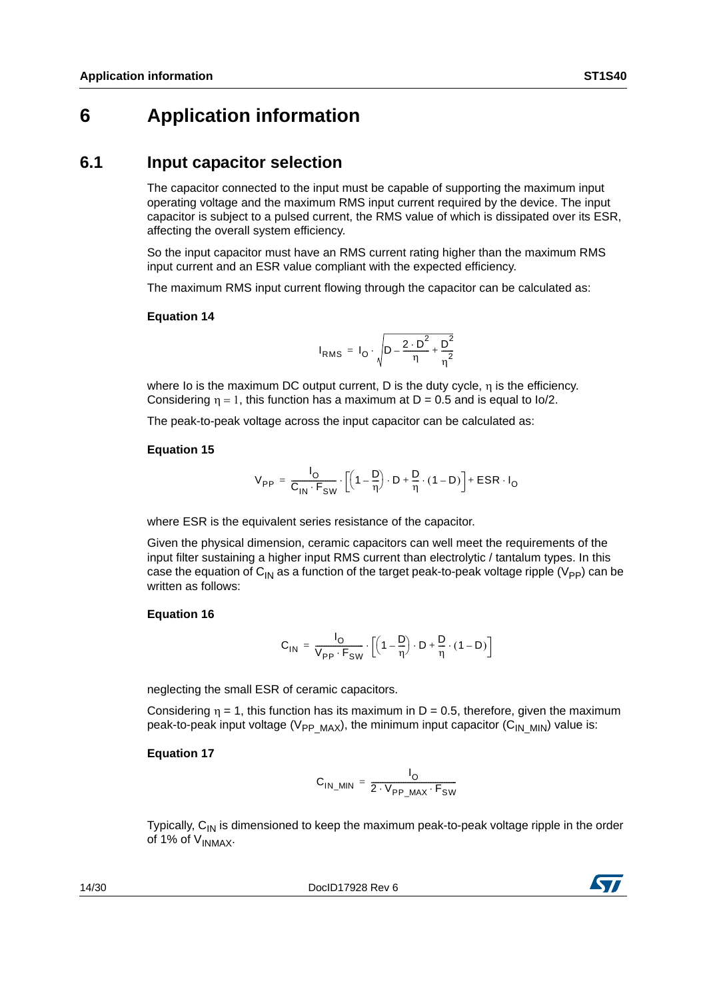### <span id="page-13-0"></span>**6 Application information**

### <span id="page-13-1"></span>**6.1 Input capacitor selection**

The capacitor connected to the input must be capable of supporting the maximum input operating voltage and the maximum RMS input current required by the device. The input capacitor is subject to a pulsed current, the RMS value of which is dissipated over its ESR, affecting the overall system efficiency.

So the input capacitor must have an RMS current rating higher than the maximum RMS input current and an ESR value compliant with the expected efficiency.

The maximum RMS input current flowing through the capacitor can be calculated as:

### **Equation 14**

$$
I_{RMS} = I_O \cdot \sqrt{D - \frac{2 \cdot D^2}{\eta} + \frac{D^2}{\eta^2}}
$$

where Io is the maximum DC output current. D is the duty cycle, n is the efficiency. Considering  $\eta = 1$ , this function has a maximum at D = 0.5 and is equal to Io/2.

The peak-to-peak voltage across the input capacitor can be calculated as:

#### **Equation 15**

$$
V_{PP} = \frac{I_O}{C_{IN} \cdot F_{SW}} \cdot \left[ \left( 1 - \frac{D}{\eta} \right) \cdot D + \frac{D}{\eta} \cdot (1 - D) \right] + ESR \cdot I_O
$$

where ESR is the equivalent series resistance of the capacitor.

Given the physical dimension, ceramic capacitors can well meet the requirements of the input filter sustaining a higher input RMS current than electrolytic / tantalum types. In this case the equation of C<sub>IN</sub> as a function of the target peak-to-peak voltage ripple (V<sub>PP</sub>) can be written as follows:

### **Equation 16**

$$
C_{1N} = \frac{I_O}{V_{PP} \cdot F_{SW}} \cdot \left[ \left( 1 - \frac{D}{\eta} \right) \cdot D + \frac{D}{\eta} \cdot (1 - D) \right]
$$

neglecting the small ESR of ceramic capacitors.

Considering  $\eta = 1$ , this function has its maximum in D = 0.5, therefore, given the maximum peak-to-peak input voltage (V<sub>PP\_MAX</sub>), the minimum input capacitor (C<sub>IN\_MIN</sub>) value is:

### **Equation 17**

$$
C_{IN\_MIN} = \frac{I_O}{2 \cdot V_{PP\_MAX} \cdot F_{SW}}
$$

Typically,  $C_{IN}$  is dimensioned to keep the maximum peak-to-peak voltage ripple in the order of 1% of  $V_{INMAX}$ .

14/30 DocID17928 Rev 6

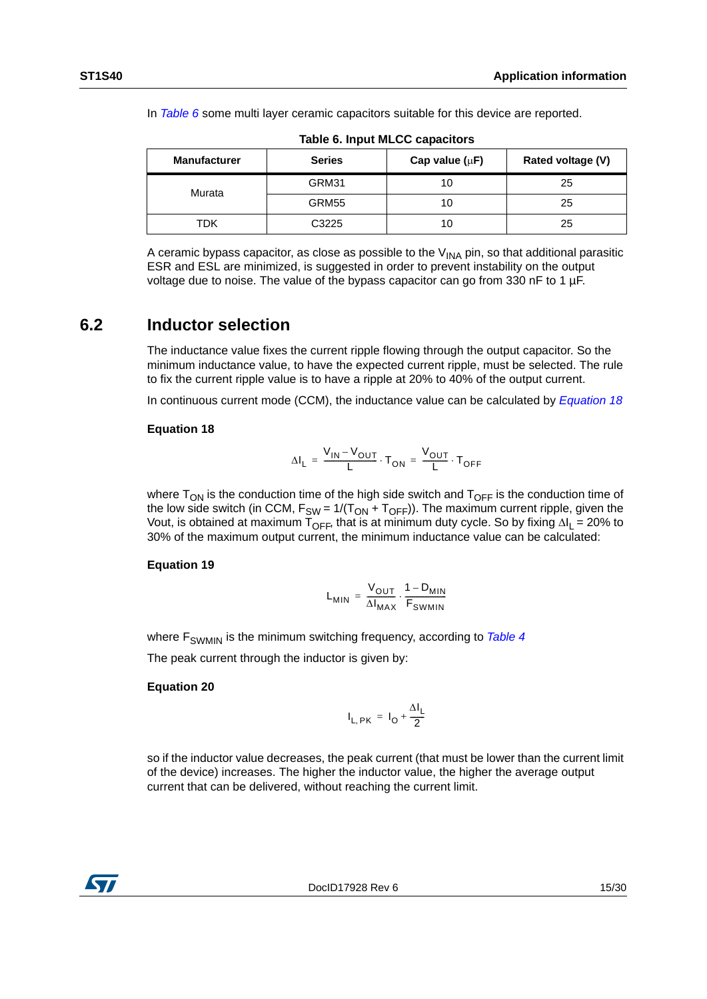In *[Table 6](#page-14-1)* some multi layer ceramic capacitors suitable for this device are reported.

<span id="page-14-1"></span>

| <b>Manufacturer</b> | <b>Series</b> | Cap value $(\mu F)$ | Rated voltage (V) |
|---------------------|---------------|---------------------|-------------------|
| Murata              | GRM31         | 10                  | 25                |
|                     | GRM55         | 10                  | 25                |
| TDK                 | C3225         | 10                  | 25                |

**Table 6. Input MLCC capacitors**

A ceramic bypass capacitor, as close as possible to the  $V_{\text{INA}}$  pin, so that additional parasitic ESR and ESL are minimized, is suggested in order to prevent instability on the output voltage due to noise. The value of the bypass capacitor can go from 330 nF to 1 µF.

### <span id="page-14-0"></span>**6.2 Inductor selection**

The inductance value fixes the current ripple flowing through the output capacitor. So the minimum inductance value, to have the expected current ripple, must be selected. The rule to fix the current ripple value is to have a ripple at 20% to 40% of the output current.

In continuous current mode (CCM), the inductance value can be calculated by *[Equation 18](#page-14-2)*

### <span id="page-14-2"></span>**Equation 18**

$$
\Delta I_L = \frac{V_{IN} - V_{OUT}}{L} \cdot T_{ON} = \frac{V_{OUT}}{L} \cdot T_{OFF}
$$

where  $T_{ON}$  is the conduction time of the high side switch and  $T_{OFF}$  is the conduction time of the low side switch (in CCM,  $F_{SW} = 1/(T_{ON} + T_{OFF})$ ). The maximum current ripple, given the Vout, is obtained at maximum  $T_{OFF}$ , that is at minimum duty cycle. So by fixing  $\Delta I_L = 20\%$  to 30% of the maximum output current, the minimum inductance value can be calculated:

### **Equation 19**

$$
L_{MIN} = \frac{V_{OUT}}{\Delta I_{MAX}} \cdot \frac{1 - D_{MIN}}{F_{SWMIN}}
$$

where F<sub>SWMIN</sub> is the minimum switching frequency, according to **[Table 4](#page-4-1)** 

The peak current through the inductor is given by:

### **Equation 20**

$$
I_{L, PK} = I_O + \frac{\Delta I_L}{2}
$$

so if the inductor value decreases, the peak current (that must be lower than the current limit of the device) increases. The higher the inductor value, the higher the average output current that can be delivered, without reaching the current limit.

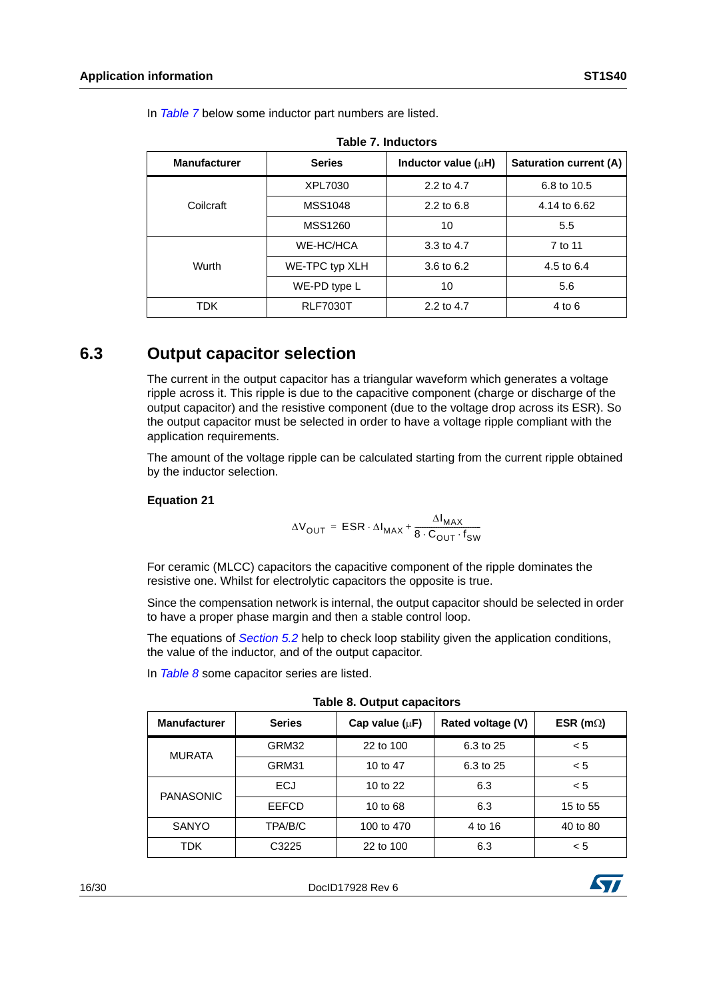<span id="page-15-1"></span>

| <b>Manufacturer</b><br><b>Series</b> |                 | Inductor value $(\mu H)$ | Saturation current (A) |
|--------------------------------------|-----------------|--------------------------|------------------------|
|                                      | XPL7030         | 2.2 to 4.7               | 6.8 to 10.5            |
| Coilcraft                            | MSS1048         | $2.2$ to 6.8             | 4.14 to 6.62           |
|                                      | <b>MSS1260</b>  | 10                       | 5.5                    |
|                                      | WE-HC/HCA       | 3.3 to $4.7$             | 7 to 11                |
| Wurth                                | WE-TPC typ XLH  | 3.6 to 6.2               | 4.5 to 6.4             |
|                                      | WE-PD type L    | 10                       | 5.6                    |
| TDK.                                 | <b>RLF7030T</b> | 2.2 to 4.7               | 4 to 6                 |

In *[Table 7](#page-15-1)* below some inductor part numbers are listed.

|  |  |  | Table 7. Inductors |
|--|--|--|--------------------|
|  |  |  |                    |

### <span id="page-15-0"></span>**6.3 Output capacitor selection**

The current in the output capacitor has a triangular waveform which generates a voltage ripple across it. This ripple is due to the capacitive component (charge or discharge of the output capacitor) and the resistive component (due to the voltage drop across its ESR). So the output capacitor must be selected in order to have a voltage ripple compliant with the application requirements.

The amount of the voltage ripple can be calculated starting from the current ripple obtained by the inductor selection.

### **Equation 21**

$$
\Delta V_{OUT} = ESR \cdot \Delta I_{MAX} + \frac{\Delta I_{MAX}}{8 \cdot C_{OUT} \cdot f_{SW}}
$$

For ceramic (MLCC) capacitors the capacitive component of the ripple dominates the resistive one. Whilst for electrolytic capacitors the opposite is true.

Since the compensation network is internal, the output capacitor should be selected in order to have a proper phase margin and then a stable control loop.

The equations of *[Section 5.2](#page-7-1)* help to check loop stability given the application conditions, the value of the inductor, and of the output capacitor.

In *[Table 8](#page-15-2)* some capacitor series are listed.

<span id="page-15-2"></span>

| rable of Output Capacitors |               |                     |                   |                   |  |  |  |
|----------------------------|---------------|---------------------|-------------------|-------------------|--|--|--|
| <b>Manufacturer</b>        | <b>Series</b> | Cap value $(\mu F)$ | Rated voltage (V) | ESR (m $\Omega$ ) |  |  |  |
| <b>MURATA</b>              | GRM32         | 22 to 100           | 6.3 to 25         | < 5               |  |  |  |
|                            | GRM31         | 10 to 47            | 6.3 to 25         | < 5               |  |  |  |
| <b>PANASONIC</b>           | <b>ECJ</b>    | 10 to 22            | 6.3               | < 5               |  |  |  |
|                            | <b>EEFCD</b>  | 10 to 68            | 6.3               | 15 to 55          |  |  |  |
| <b>SANYO</b>               | TPA/B/C       | 100 to 470          | 4 to 16           | 40 to 80          |  |  |  |
| <b>TDK</b>                 | C3225         | 22 to 100           | 6.3               | < 5               |  |  |  |

|  |  |  | <b>Table 8. Output capacitors</b> |
|--|--|--|-----------------------------------|
|--|--|--|-----------------------------------|

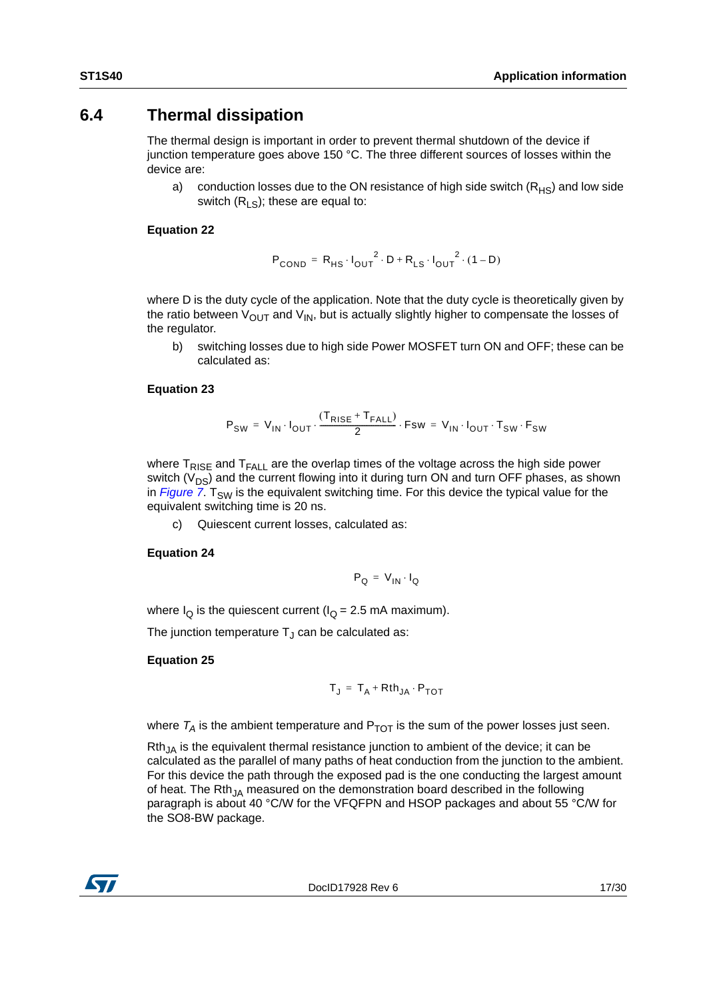### <span id="page-16-0"></span>**6.4 Thermal dissipation**

The thermal design is important in order to prevent thermal shutdown of the device if junction temperature goes above 150 °C. The three different sources of losses within the device are:

a) conduction losses due to the ON resistance of high side switch  $(R_{HS})$  and low side switch  $(R_{LS})$ ; these are equal to:

### **Equation 22**

$$
P_{\text{COND}} = R_{\text{HS}} \cdot I_{\text{OUT}}^{2} \cdot D + R_{\text{LS}} \cdot I_{\text{OUT}}^{2} \cdot (1 - D)
$$

where D is the duty cycle of the application. Note that the duty cycle is theoretically given by the ratio between  $V_{\text{OUT}}$  and  $V_{\text{IN}}$ , but is actually slightly higher to compensate the losses of the regulator.

b) switching losses due to high side Power MOSFET turn ON and OFF; these can be calculated as:

### **Equation 23**

$$
\mathsf{P}_{\mathsf{SW}} = \mathsf{V}_{\mathsf{IN}} \cdot \mathsf{I}_{\mathsf{OUT}} \cdot \frac{(\mathsf{T}_{\mathsf{RISE}} + \mathsf{T}_{\mathsf{FALL}})}{2} \cdot \mathsf{Fsw} = \mathsf{V}_{\mathsf{IN}} \cdot \mathsf{I}_{\mathsf{OUT}} \cdot \mathsf{T}_{\mathsf{SW}} \cdot \mathsf{F}_{\mathsf{SW}}
$$

where  $T_{RISF}$  and  $T_{FAI}$  are the overlap times of the voltage across the high side power switch  $(V_{DS})$  and the current flowing into it during turn ON and turn OFF phases, as shown in *Figure* 7. T<sub>SW</sub> is the equivalent switching time. For this device the typical value for the equivalent switching time is 20 ns.

c) Quiescent current losses, calculated as:

### **Equation 24**

$$
\mathbf{P}_{\mathbf{Q}} = \mathbf{V}_{\mathbf{IN}} \cdot \mathbf{I}_{\mathbf{Q}}
$$

where  $I_{\Omega}$  is the quiescent current ( $I_{\Omega}$  = 2.5 mA maximum).

The junction temperature  $T_{\text{J}}$  can be calculated as:

### **Equation 25**

$$
T_J = T_A + Rth_{JA} \cdot P_{TOT}
$$

where  $T_A$  is the ambient temperature and  $P_{TOT}$  is the sum of the power losses just seen.

 $Rth_{JA}$  is the equivalent thermal resistance junction to ambient of the device; it can be calculated as the parallel of many paths of heat conduction from the junction to the ambient. For this device the path through the exposed pad is the one conducting the largest amount of heat. The Rth<sub>JA</sub> measured on the demonstration board described in the following paragraph is about 40 °C/W for the VFQFPN and HSOP packages and about 55 °C/W for the SO8-BW package.

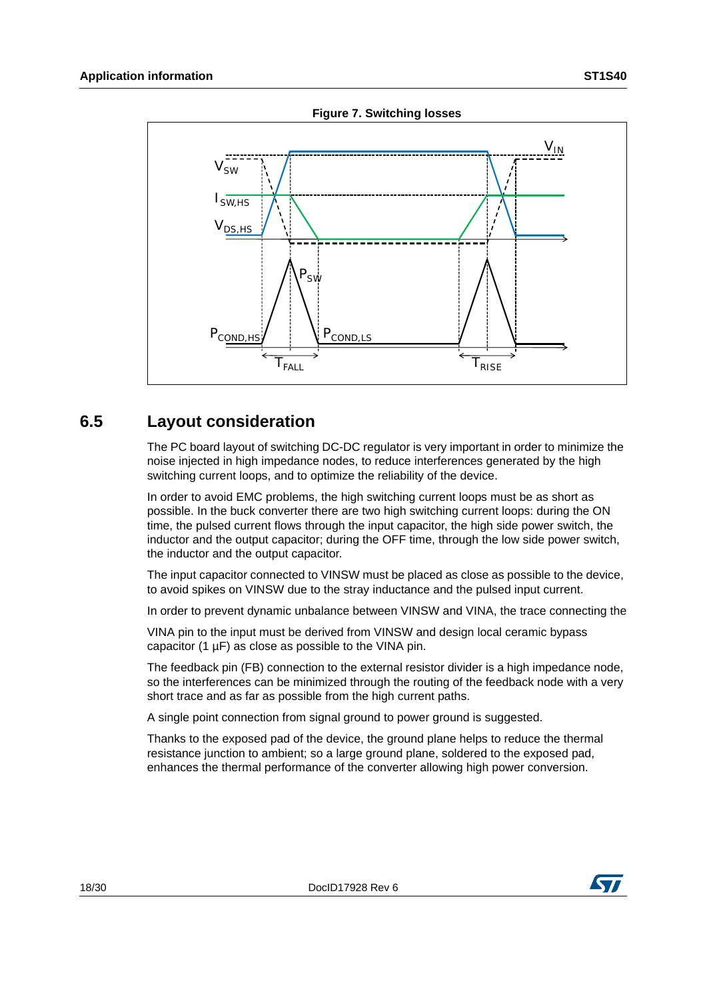<span id="page-17-1"></span>

**Figure 7. Switching losses**

### <span id="page-17-0"></span>**6.5 Layout consideration**

The PC board layout of switching DC-DC regulator is very important in order to minimize the noise injected in high impedance nodes, to reduce interferences generated by the high switching current loops, and to optimize the reliability of the device.

In order to avoid EMC problems, the high switching current loops must be as short as possible. In the buck converter there are two high switching current loops: during the ON time, the pulsed current flows through the input capacitor, the high side power switch, the inductor and the output capacitor; during the OFF time, through the low side power switch, the inductor and the output capacitor.

The input capacitor connected to VINSW must be placed as close as possible to the device, to avoid spikes on VINSW due to the stray inductance and the pulsed input current.

In order to prevent dynamic unbalance between VINSW and VINA, the trace connecting the

VINA pin to the input must be derived from VINSW and design local ceramic bypass capacitor (1 µF) as close as possible to the VINA pin.

The feedback pin (FB) connection to the external resistor divider is a high impedance node, so the interferences can be minimized through the routing of the feedback node with a very short trace and as far as possible from the high current paths.

A single point connection from signal ground to power ground is suggested.

Thanks to the exposed pad of the device, the ground plane helps to reduce the thermal resistance junction to ambient; so a large ground plane, soldered to the exposed pad, enhances the thermal performance of the converter allowing high power conversion.



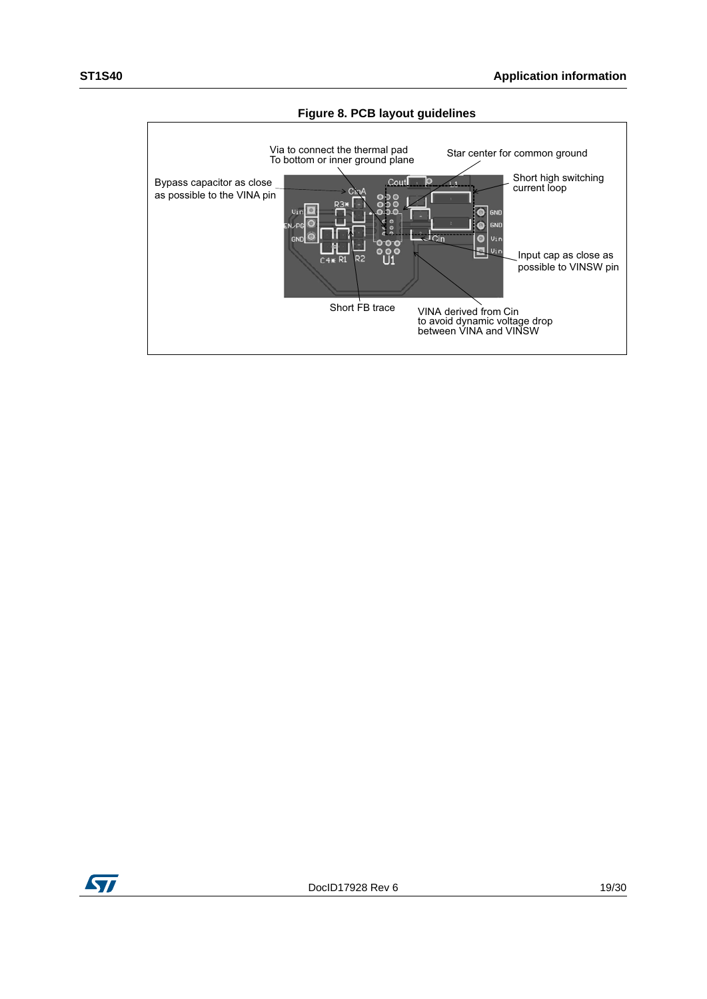

**Figure 8. PCB layout guidelines**

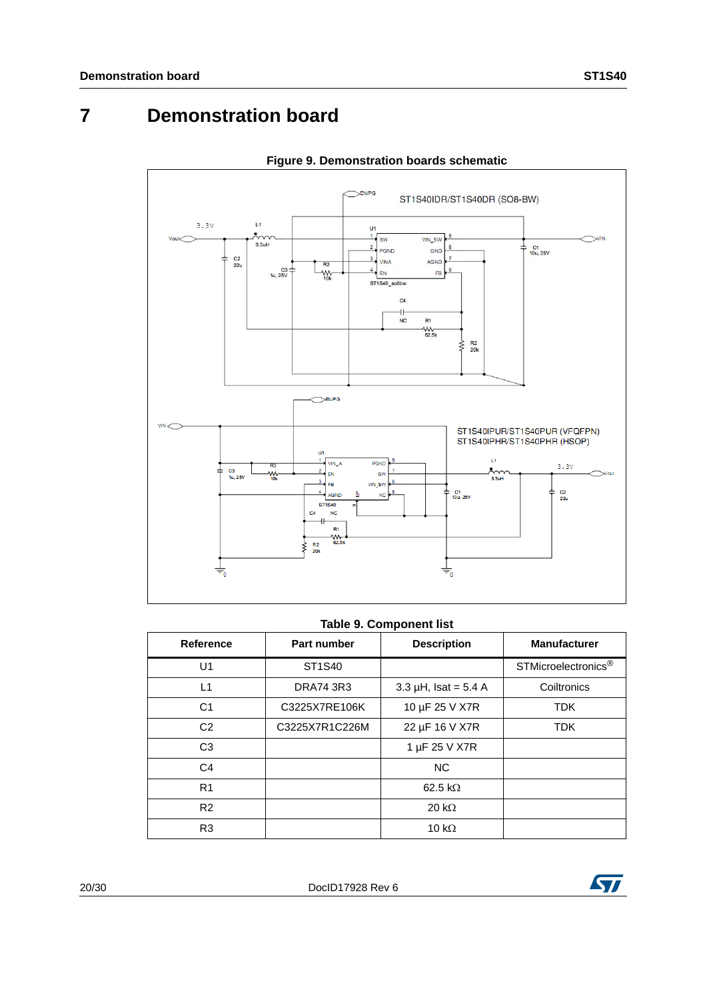# <span id="page-19-0"></span>**7 Demonstration board**



### **Figure 9. Demonstration boards schematic**

#### **Table 9. Component list**

| Reference      | Part number      | <b>Description</b>        | <b>Manufacturer</b>             |
|----------------|------------------|---------------------------|---------------------------------|
| U1             | ST1S40           |                           | STMicroelectronics <sup>®</sup> |
| L1             | <b>DRA74 3R3</b> | 3.3 $\mu$ H, Isat = 5.4 A | Coiltronics                     |
| C <sub>1</sub> | C3225X7RE106K    | 10 µF 25 V X7R            | <b>TDK</b>                      |
| C <sub>2</sub> | C3225X7R1C226M   | 22 µF 16 V X7R            | <b>TDK</b>                      |
| C <sub>3</sub> |                  | 1 µF 25 V X7R             |                                 |
| C <sub>4</sub> |                  | <b>NC</b>                 |                                 |
| R <sub>1</sub> |                  | 62.5 k $\Omega$           |                                 |
| R <sub>2</sub> |                  | 20 k $\Omega$             |                                 |
| R <sub>3</sub> |                  | 10 $k\Omega$              |                                 |

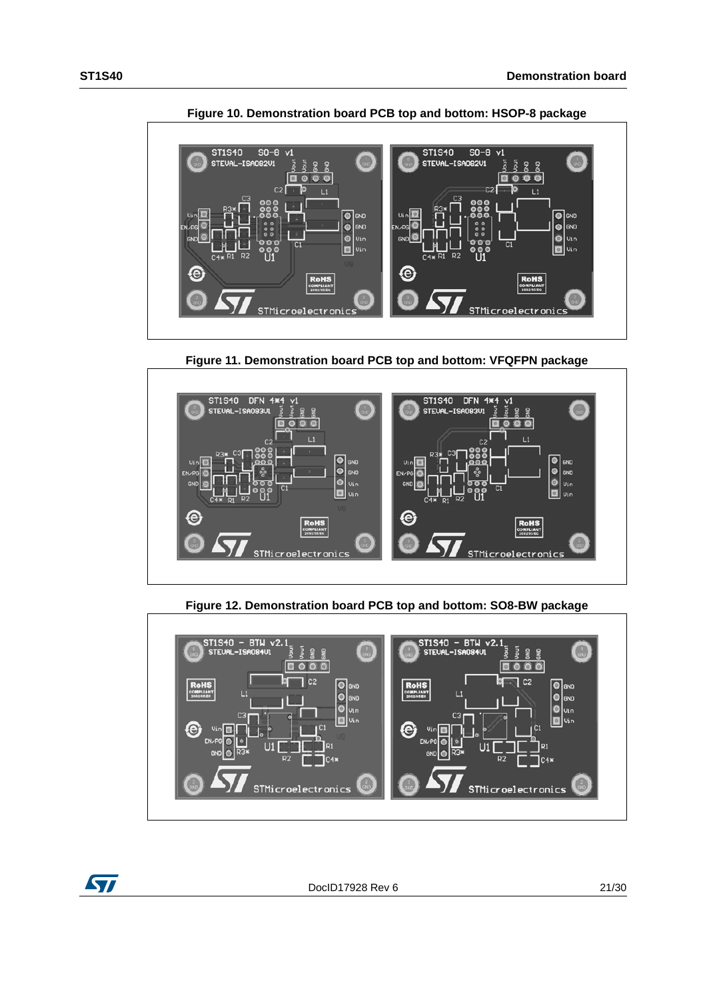

**Figure 10. Demonstration board PCB top and bottom: HSOP-8 package**

**Figure 11. Demonstration board PCB top and bottom: VFQFPN package**



**Figure 12. Demonstration board PCB top and bottom: SO8-BW package**



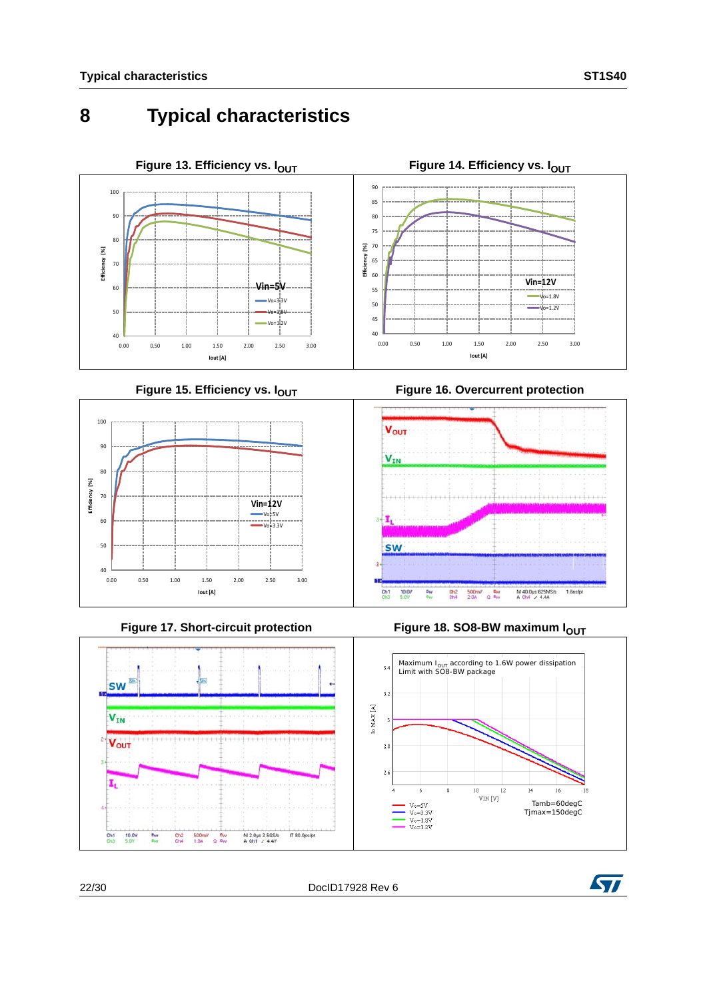# <span id="page-21-0"></span>**8 Typical characteristics**





Figure 17. Short-circuit protection



**Figure 18. SO8-BW maximum I<sub>OUT</sub>** 



M 2.0ut 2.5GS/s<br>A Ch1 / 4.4Y

IT 80.0ps/pt

 $\frac{500 \text{mV}}{1.04}$   $\frac{8 \text{W}}{2.8 \text{W}}$ 



**SW** ä.

 $V_{IN}$ 

Vout

I,

 $\frac{\text{Ch1}}{\text{Ch3}}$ 10.0V B<sub>W</sub>

 $rac{\text{ch2}}{\text{Ch4}}$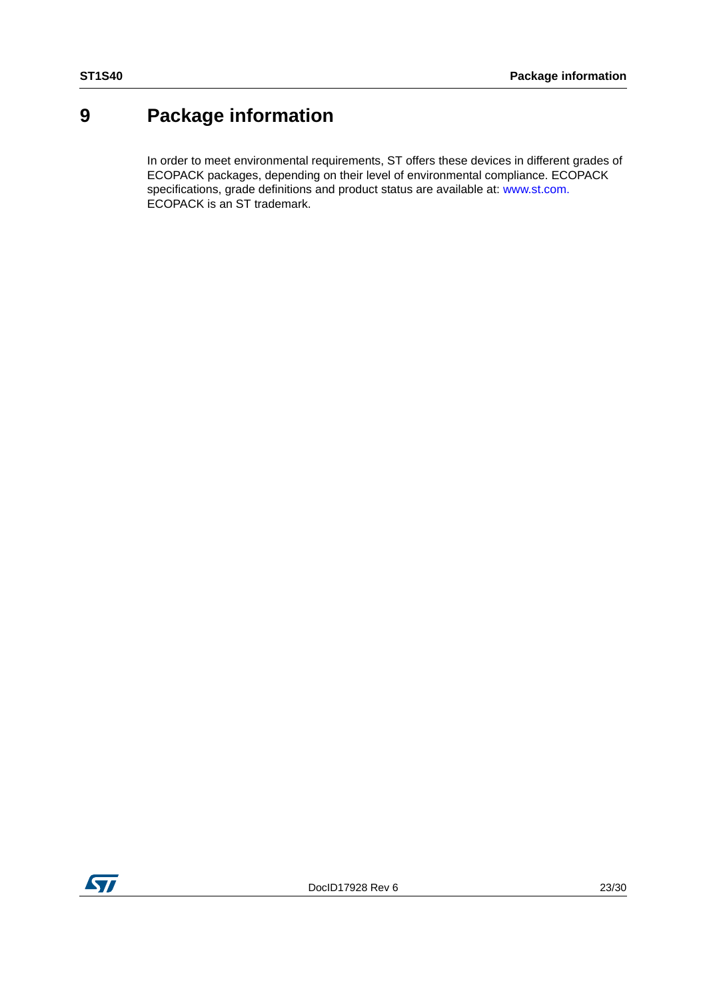# <span id="page-22-0"></span>**9 Package information**

In order to meet environmental requirements, ST offers these devices in different grades of ECOPACK packages, depending on their level of environmental compliance. ECOPACK specifications, grade definitions and product status are available at: www.st.com. ECOPACK is an ST trademark.

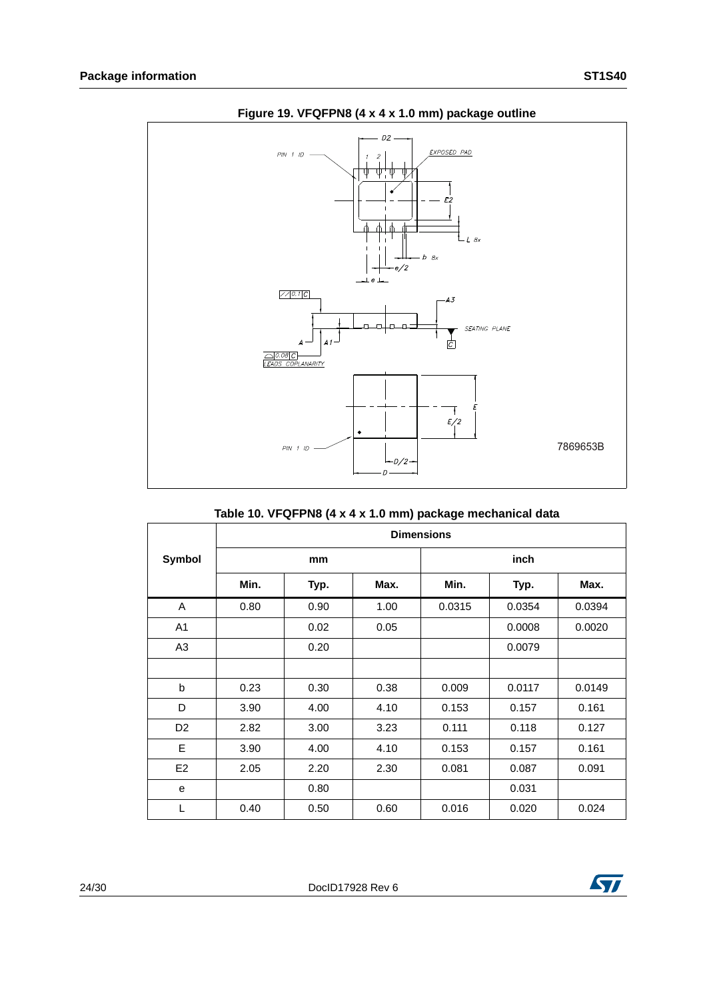

### **Figure 19. VFQFPN8 (4 x 4 x 1.0 mm) package outline**

### **Table 10. VFQFPN8 (4 x 4 x 1.0 mm) package mechanical data**

|                |      |      |      | <b>Dimensions</b> |        |        |
|----------------|------|------|------|-------------------|--------|--------|
| <b>Symbol</b>  |      | mm   |      |                   | inch   |        |
|                | Min. | Typ. | Max. | Min.              | Typ.   | Max.   |
| A              | 0.80 | 0.90 | 1.00 | 0.0315            | 0.0354 | 0.0394 |
| A <sub>1</sub> |      | 0.02 | 0.05 |                   | 0.0008 | 0.0020 |
| A <sub>3</sub> |      | 0.20 |      |                   | 0.0079 |        |
|                |      |      |      |                   |        |        |
| b              | 0.23 | 0.30 | 0.38 | 0.009             | 0.0117 | 0.0149 |
| D              | 3.90 | 4.00 | 4.10 | 0.153             | 0.157  | 0.161  |
| D <sub>2</sub> | 2.82 | 3.00 | 3.23 | 0.111             | 0.118  | 0.127  |
| E              | 3.90 | 4.00 | 4.10 | 0.153             | 0.157  | 0.161  |
| E <sub>2</sub> | 2.05 | 2.20 | 2.30 | 0.081             | 0.087  | 0.091  |
| e              |      | 0.80 |      |                   | 0.031  |        |
| L              | 0.40 | 0.50 | 0.60 | 0.016             | 0.020  | 0.024  |

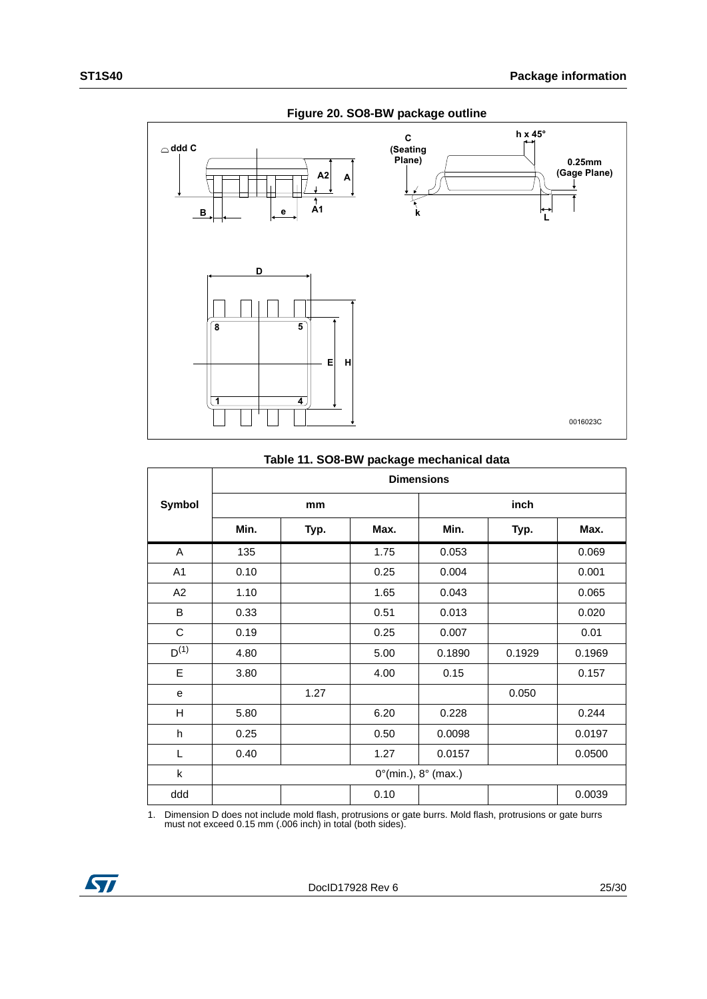

#### **Figure 20. SO8-BW package outline**

#### **Table 11. SO8-BW package mechanical data**

|                |      |      |      | <b>Dimensions</b>                      |        |        |
|----------------|------|------|------|----------------------------------------|--------|--------|
| Symbol         |      | mm   |      |                                        | inch   |        |
|                | Min. | Typ. | Max. | Min.                                   | Typ.   | Max.   |
| A              | 135  |      | 1.75 | 0.053                                  |        | 0.069  |
| A <sub>1</sub> | 0.10 |      | 0.25 | 0.004                                  |        | 0.001  |
| A2             | 1.10 |      | 1.65 | 0.043                                  |        | 0.065  |
| B              | 0.33 |      | 0.51 | 0.013                                  |        | 0.020  |
| $\mathbf C$    | 0.19 |      | 0.25 | 0.007                                  |        | 0.01   |
| $D^{(1)}$      | 4.80 |      | 5.00 | 0.1890                                 | 0.1929 | 0.1969 |
| E              | 3.80 |      | 4.00 | 0.15                                   |        | 0.157  |
| e              |      | 1.27 |      |                                        | 0.050  |        |
| H              | 5.80 |      | 6.20 | 0.228                                  |        | 0.244  |
| h              | 0.25 |      | 0.50 | 0.0098                                 |        | 0.0197 |
| L              | 0.40 |      | 1.27 | 0.0157                                 |        | 0.0500 |
| k              |      |      |      | $0^{\circ}$ (min.), $8^{\circ}$ (max.) |        |        |
| ddd            |      |      | 0.10 |                                        |        | 0.0039 |

1. Dimension D does not include mold flash, protrusions or gate burrs. Mold flash, protrusions or gate burrs must not exceed 0.15 mm (.006 inch) in total (both sides).

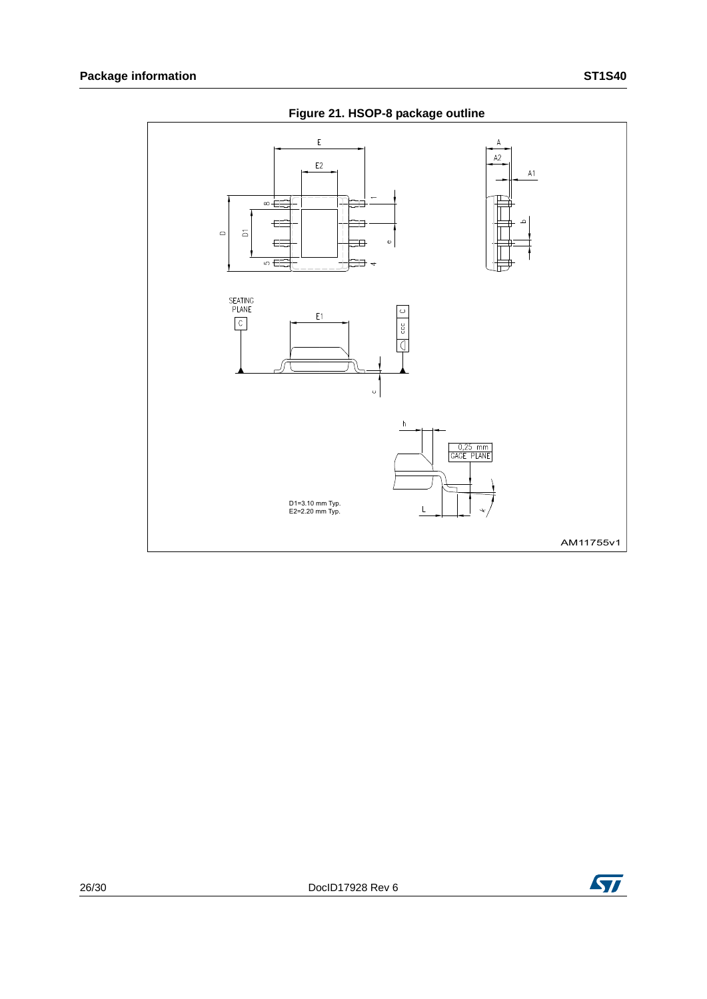

**Figure 21. HSOP-8 package outline**

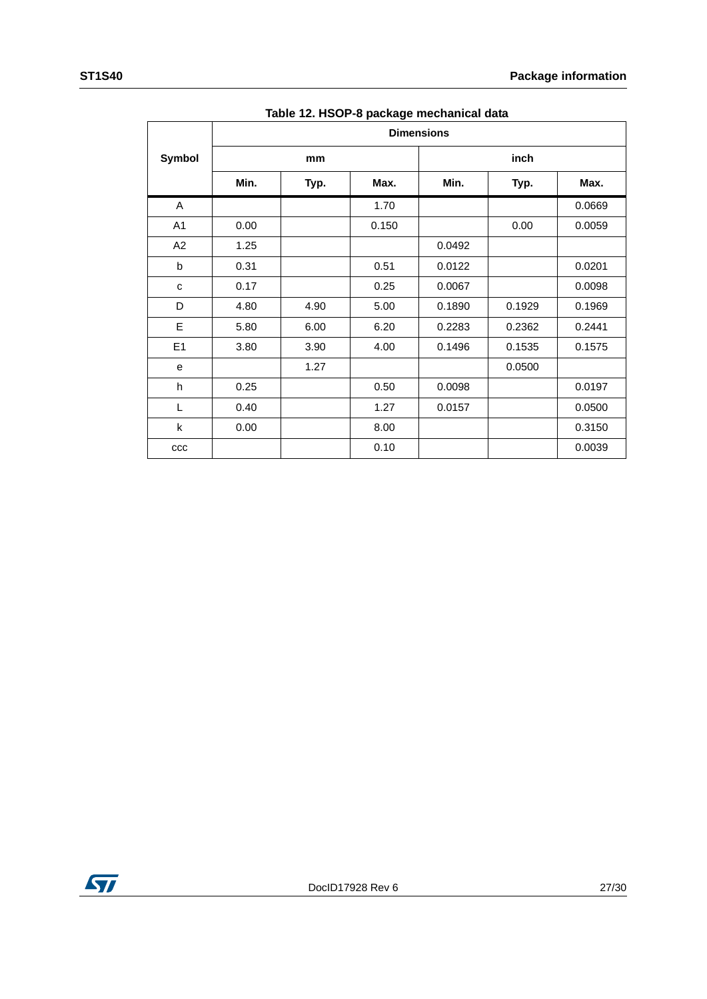|              |      |      | Table 12. HSOF-6 package inechanical data |                   |        |        |
|--------------|------|------|-------------------------------------------|-------------------|--------|--------|
|              |      |      |                                           | <b>Dimensions</b> |        |        |
| Symbol       |      | mm   |                                           |                   | inch   |        |
|              | Min. | Typ. | Max.                                      | Min.              | Typ.   | Max.   |
| A            |      |      | 1.70                                      |                   |        | 0.0669 |
| A1           | 0.00 |      | 0.150                                     |                   | 0.00   | 0.0059 |
| A2           | 1.25 |      |                                           | 0.0492            |        |        |
| b            | 0.31 |      | 0.51                                      | 0.0122            |        | 0.0201 |
| C            | 0.17 |      | 0.25                                      | 0.0067            |        | 0.0098 |
| D            | 4.80 | 4.90 | 5.00                                      | 0.1890            | 0.1929 | 0.1969 |
| E            | 5.80 | 6.00 | 6.20                                      | 0.2283            | 0.2362 | 0.2441 |
| E1           | 3.80 | 3.90 | 4.00                                      | 0.1496            | 0.1535 | 0.1575 |
| е            |      | 1.27 |                                           |                   | 0.0500 |        |
| h            | 0.25 |      | 0.50                                      | 0.0098            |        | 0.0197 |
| L            | 0.40 |      | 1.27                                      | 0.0157            |        | 0.0500 |
| k            | 0.00 |      | 8.00                                      |                   |        | 0.3150 |
| $_{\rm ccc}$ |      |      | 0.10                                      |                   |        | 0.0039 |

**Table 12. HSOP-8 package mechanical data**

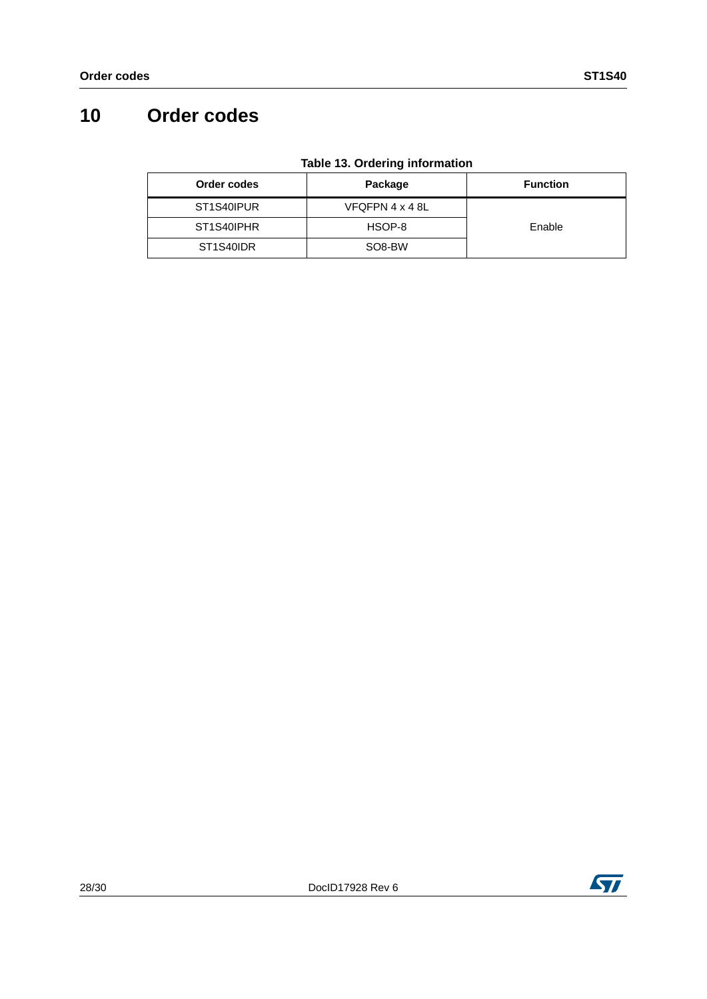# <span id="page-27-0"></span>**10 Order codes**

| Order codes | Package             | <b>Function</b> |
|-------------|---------------------|-----------------|
| ST1S40IPUR  | VFQFPN 4 x 4 8L     |                 |
| ST1S40IPHR  | HSOP-8              | Enable          |
| ST1S40IDR   | SO <sub>8</sub> -BW |                 |

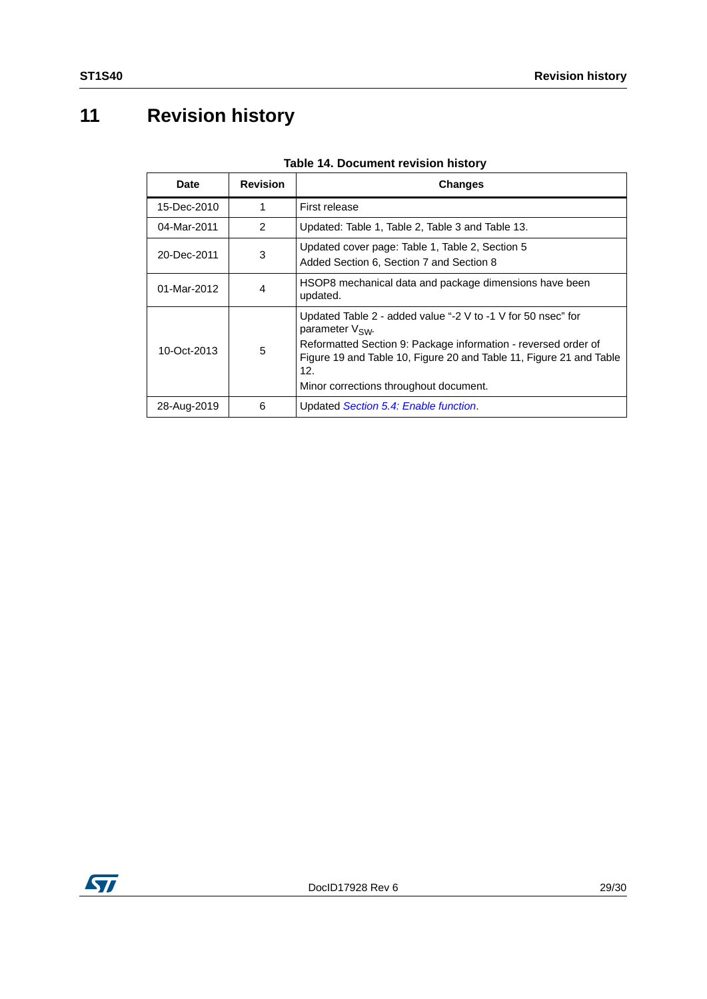# <span id="page-28-0"></span>**11 Revision history**

| Date        | <b>Revision</b> | Changes                                                                                                                                                                                                                                                                               |
|-------------|-----------------|---------------------------------------------------------------------------------------------------------------------------------------------------------------------------------------------------------------------------------------------------------------------------------------|
| 15-Dec-2010 | 1               | First release                                                                                                                                                                                                                                                                         |
| 04-Mar-2011 | $\mathcal{P}$   | Updated: Table 1, Table 2, Table 3 and Table 13.                                                                                                                                                                                                                                      |
| 20-Dec-2011 | 3               | Updated cover page: Table 1, Table 2, Section 5<br>Added Section 6, Section 7 and Section 8                                                                                                                                                                                           |
| 01-Mar-2012 | 4               | HSOP8 mechanical data and package dimensions have been<br>updated.                                                                                                                                                                                                                    |
| 10-Oct-2013 | 5               | Updated Table 2 - added value "-2 V to -1 V for 50 nsec" for<br>parameter V <sub>SW</sub> .<br>Reformatted Section 9: Package information - reversed order of<br>Figure 19 and Table 10, Figure 20 and Table 11, Figure 21 and Table<br>12.<br>Minor corrections throughout document. |
| 28-Aug-2019 | 6               | Updated Section 5.4: Enable function.                                                                                                                                                                                                                                                 |

| Table 14. Document revision history |
|-------------------------------------|
|-------------------------------------|